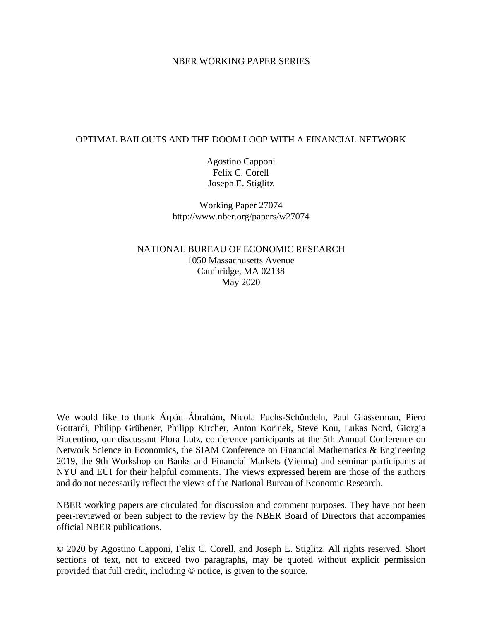#### NBER WORKING PAPER SERIES

## OPTIMAL BAILOUTS AND THE DOOM LOOP WITH A FINANCIAL NETWORK

Agostino Capponi Felix C. Corell Joseph E. Stiglitz

Working Paper 27074 http://www.nber.org/papers/w27074

NATIONAL BUREAU OF ECONOMIC RESEARCH 1050 Massachusetts Avenue Cambridge, MA 02138 May 2020

We would like to thank Árpád Ábrahám, Nicola Fuchs-Schündeln, Paul Glasserman, Piero Gottardi, Philipp Grübener, Philipp Kircher, Anton Korinek, Steve Kou, Lukas Nord, Giorgia Piacentino, our discussant Flora Lutz, conference participants at the 5th Annual Conference on Network Science in Economics, the SIAM Conference on Financial Mathematics & Engineering 2019, the 9th Workshop on Banks and Financial Markets (Vienna) and seminar participants at NYU and EUI for their helpful comments. The views expressed herein are those of the authors and do not necessarily reflect the views of the National Bureau of Economic Research.

NBER working papers are circulated for discussion and comment purposes. They have not been peer-reviewed or been subject to the review by the NBER Board of Directors that accompanies official NBER publications.

© 2020 by Agostino Capponi, Felix C. Corell, and Joseph E. Stiglitz. All rights reserved. Short sections of text, not to exceed two paragraphs, may be quoted without explicit permission provided that full credit, including © notice, is given to the source.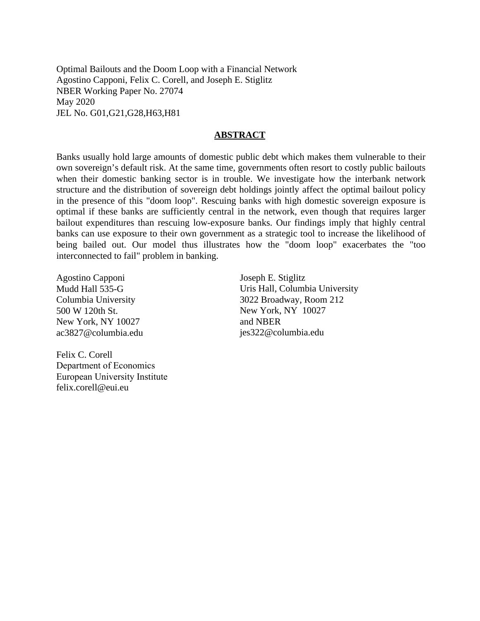Optimal Bailouts and the Doom Loop with a Financial Network Agostino Capponi, Felix C. Corell, and Joseph E. Stiglitz NBER Working Paper No. 27074 May 2020 JEL No. G01,G21,G28,H63,H81

#### **ABSTRACT**

Banks usually hold large amounts of domestic public debt which makes them vulnerable to their own sovereign's default risk. At the same time, governments often resort to costly public bailouts when their domestic banking sector is in trouble. We investigate how the interbank network structure and the distribution of sovereign debt holdings jointly affect the optimal bailout policy in the presence of this "doom loop". Rescuing banks with high domestic sovereign exposure is optimal if these banks are sufficiently central in the network, even though that requires larger bailout expenditures than rescuing low-exposure banks. Our findings imply that highly central banks can use exposure to their own government as a strategic tool to increase the likelihood of being bailed out. Our model thus illustrates how the "doom loop" exacerbates the "too interconnected to fail" problem in banking.

Agostino Capponi Mudd Hall 535-G Columbia University 500 W 120th St. New York, NY 10027 ac3827@columbia.edu

Joseph E. Stiglitz Uris Hall, Columbia University 3022 Broadway, Room 212 New York, NY 10027 and NBER jes322@columbia.edu

Felix C. Corell Department of Economics European University Institute felix.corell@eui.eu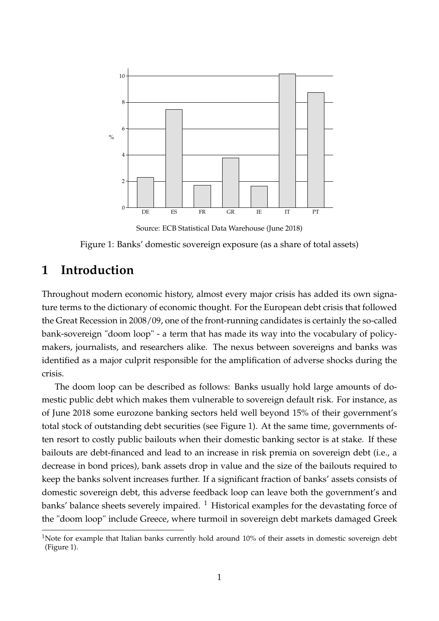<span id="page-2-0"></span>

Source: ECB Statistical Data Warehouse (June 2018)

Figure 1: Banks' domestic sovereign exposure (as a share of total assets)

# **1 Introduction**

Throughout modern economic history, almost every major crisis has added its own signature terms to the dictionary of economic thought. For the European debt crisis that followed the Great Recession in 2008/09, one of the front-running candidates is certainly the so-called bank-sovereign "doom loop" - a term that has made its way into the vocabulary of policymakers, journalists, and researchers alike. The nexus between sovereigns and banks was identified as a major culprit responsible for the amplification of adverse shocks during the crisis.

The doom loop can be described as follows: Banks usually hold large amounts of domestic public debt which makes them vulnerable to sovereign default risk. For instance, as of June 2018 some eurozone banking sectors held well beyond 15% of their government's total stock of outstanding debt securities (see Figure [1\)](#page-2-0). At the same time, governments often resort to costly public bailouts when their domestic banking sector is at stake. If these bailouts are debt-financed and lead to an increase in risk premia on sovereign debt (i.e., a decrease in bond prices), bank assets drop in value and the size of the bailouts required to keep the banks solvent increases further. If a significant fraction of banks' assets consists of domestic sovereign debt, this adverse feedback loop can leave both the government's and banks' balance sheets severely impaired.  $1$  Historical examples for the devastating force of the "doom loop" include Greece, where turmoil in sovereign debt markets damaged Greek

<sup>&</sup>lt;sup>1</sup>Note for example that Italian banks currently hold around  $10\%$  of their assets in domestic sovereign debt (Figure [1\)](#page-2-0).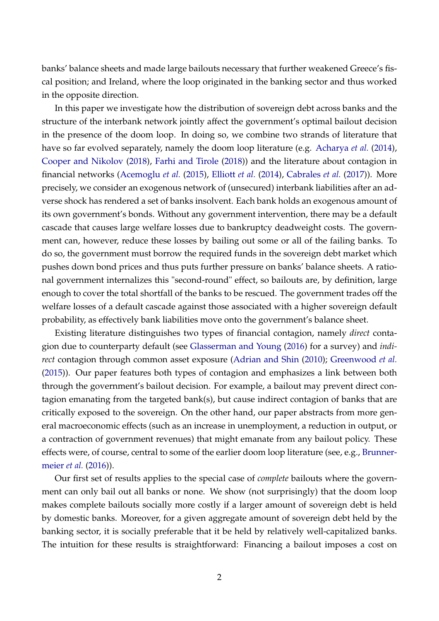banks' balance sheets and made large bailouts necessary that further weakened Greece's fiscal position; and Ireland, where the loop originated in the banking sector and thus worked in the opposite direction.

In this paper we investigate how the distribution of sovereign debt across banks and the structure of the interbank network jointly affect the government's optimal bailout decision in the presence of the doom loop. In doing so, we combine two strands of literature that have so far evolved separately, namely the doom loop literature (e.g. [Acharya](#page-33-0) *et al.* [\(2014\)](#page-33-0), [Cooper and Nikolov](#page-34-0) [\(2018\)](#page-34-0), [Farhi and Tirole](#page-34-1) [\(2018\)](#page-34-1)) and the literature about contagion in financial networks [\(Acemoglu](#page-33-1) *et al.* [\(2015\)](#page-33-1), [Elliott](#page-34-2) *et al.* [\(2014\)](#page-34-2), [Cabrales](#page-34-3) *et al.* [\(2017\)](#page-34-3)). More precisely, we consider an exogenous network of (unsecured) interbank liabilities after an adverse shock has rendered a set of banks insolvent. Each bank holds an exogenous amount of its own government's bonds. Without any government intervention, there may be a default cascade that causes large welfare losses due to bankruptcy deadweight costs. The government can, however, reduce these losses by bailing out some or all of the failing banks. To do so, the government must borrow the required funds in the sovereign debt market which pushes down bond prices and thus puts further pressure on banks' balance sheets. A rational government internalizes this "second-round" effect, so bailouts are, by definition, large enough to cover the total shortfall of the banks to be rescued. The government trades off the welfare losses of a default cascade against those associated with a higher sovereign default probability, as effectively bank liabilities move onto the government's balance sheet.

Existing literature distinguishes two types of financial contagion, namely *direct* contagion due to counterparty default (see [Glasserman and Young](#page-34-4) [\(2016\)](#page-34-4) for a survey) and *indirect* contagion through common asset exposure [\(Adrian and Shin](#page-33-2) [\(2010\)](#page-33-2); [Greenwood](#page-35-0) *et al.* [\(2015\)](#page-35-0)). Our paper features both types of contagion and emphasizes a link between both through the government's bailout decision. For example, a bailout may prevent direct contagion emanating from the targeted bank(s), but cause indirect contagion of banks that are critically exposed to the sovereign. On the other hand, our paper abstracts from more general macroeconomic effects (such as an increase in unemployment, a reduction in output, or a contraction of government revenues) that might emanate from any bailout policy. These effects were, of course, central to some of the earlier doom loop literature (see, e.g., [Brunner](#page-33-3)[meier](#page-33-3) *et al.* [\(2016\)](#page-33-3)).

Our first set of results applies to the special case of *complete* bailouts where the government can only bail out all banks or none. We show (not surprisingly) that the doom loop makes complete bailouts socially more costly if a larger amount of sovereign debt is held by domestic banks. Moreover, for a given aggregate amount of sovereign debt held by the banking sector, it is socially preferable that it be held by relatively well-capitalized banks. The intuition for these results is straightforward: Financing a bailout imposes a cost on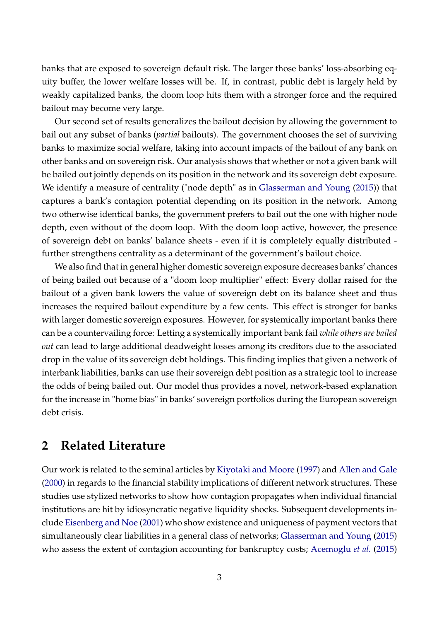banks that are exposed to sovereign default risk. The larger those banks' loss-absorbing equity buffer, the lower welfare losses will be. If, in contrast, public debt is largely held by weakly capitalized banks, the doom loop hits them with a stronger force and the required bailout may become very large.

Our second set of results generalizes the bailout decision by allowing the government to bail out any subset of banks (*partial* bailouts). The government chooses the set of surviving banks to maximize social welfare, taking into account impacts of the bailout of any bank on other banks and on sovereign risk. Our analysis shows that whether or not a given bank will be bailed out jointly depends on its position in the network and its sovereign debt exposure. We identify a measure of centrality ("node depth" as in [Glasserman and Young](#page-34-5) [\(2015\)](#page-34-5)) that captures a bank's contagion potential depending on its position in the network. Among two otherwise identical banks, the government prefers to bail out the one with higher node depth, even without of the doom loop. With the doom loop active, however, the presence of sovereign debt on banks' balance sheets - even if it is completely equally distributed further strengthens centrality as a determinant of the government's bailout choice.

We also find that in general higher domestic sovereign exposure decreases banks' chances of being bailed out because of a "doom loop multiplier" effect: Every dollar raised for the bailout of a given bank lowers the value of sovereign debt on its balance sheet and thus increases the required bailout expenditure by a few cents. This effect is stronger for banks with larger domestic sovereign exposures. However, for systemically important banks there can be a countervailing force: Letting a systemically important bank fail *while others are bailed out* can lead to large additional deadweight losses among its creditors due to the associated drop in the value of its sovereign debt holdings. This finding implies that given a network of interbank liabilities, banks can use their sovereign debt position as a strategic tool to increase the odds of being bailed out. Our model thus provides a novel, network-based explanation for the increase in "home bias" in banks' sovereign portfolios during the European sovereign debt crisis.

# **2 Related Literature**

Our work is related to the seminal articles by [Kiyotaki and Moore](#page-35-1) [\(1997\)](#page-35-1) and [Allen and Gale](#page-33-4) [\(2000\)](#page-33-4) in regards to the financial stability implications of different network structures. These studies use stylized networks to show how contagion propagates when individual financial institutions are hit by idiosyncratic negative liquidity shocks. Subsequent developments include [Eisenberg and Noe](#page-34-6) [\(2001\)](#page-34-6) who show existence and uniqueness of payment vectors that simultaneously clear liabilities in a general class of networks; [Glasserman and Young](#page-34-5) [\(2015\)](#page-34-5) who assess the extent of contagion accounting for bankruptcy costs; [Acemoglu](#page-33-1) *et al.* [\(2015\)](#page-33-1)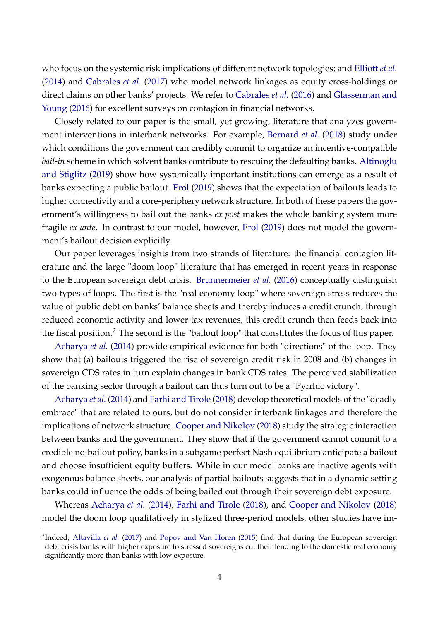who focus on the systemic risk implications of different network topologies; and [Elliott](#page-34-2) *et al.* [\(2014\)](#page-34-2) and [Cabrales](#page-34-3) *et al.* [\(2017\)](#page-34-3) who model network linkages as equity cross-holdings or direct claims on other banks' projects. We refer to [Cabrales](#page-33-5) *et al.* [\(2016\)](#page-33-5) and [Glasserman and](#page-34-4) [Young](#page-34-4) [\(2016\)](#page-34-4) for excellent surveys on contagion in financial networks.

Closely related to our paper is the small, yet growing, literature that analyzes government interventions in interbank networks. For example, [Bernard](#page-33-6) *et al.* [\(2018\)](#page-33-6) study under which conditions the government can credibly commit to organize an incentive-compatible *bail-in* scheme in which solvent banks contribute to rescuing the defaulting banks. [Altinoglu](#page-33-7) [and Stiglitz](#page-33-7) [\(2019\)](#page-33-7) show how systemically important institutions can emerge as a result of banks expecting a public bailout. [Erol](#page-34-7) [\(2019\)](#page-34-7) shows that the expectation of bailouts leads to higher connectivity and a core-periphery network structure. In both of these papers the government's willingness to bail out the banks *ex post* makes the whole banking system more fragile *ex ante*. In contrast to our model, however, [Erol](#page-34-7) [\(2019\)](#page-34-7) does not model the government's bailout decision explicitly.

Our paper leverages insights from two strands of literature: the financial contagion literature and the large "doom loop" literature that has emerged in recent years in response to the European sovereign debt crisis. [Brunnermeier](#page-33-3) *et al.* [\(2016\)](#page-33-3) conceptually distinguish two types of loops. The first is the "real economy loop" where sovereign stress reduces the value of public debt on banks' balance sheets and thereby induces a credit crunch; through reduced economic activity and lower tax revenues, this credit crunch then feeds back into the fiscal position.<sup>2</sup> The second is the "bailout loop" that constitutes the focus of this paper.

[Acharya](#page-33-0) *et al.* [\(2014\)](#page-33-0) provide empirical evidence for both "directions" of the loop. They show that (a) bailouts triggered the rise of sovereign credit risk in 2008 and (b) changes in sovereign CDS rates in turn explain changes in bank CDS rates. The perceived stabilization of the banking sector through a bailout can thus turn out to be a "Pyrrhic victory".

[Acharya](#page-33-0) *et al.* [\(2014\)](#page-33-0) and [Farhi and Tirole](#page-34-1) [\(2018\)](#page-34-1) develop theoretical models of the "deadly embrace" that are related to ours, but do not consider interbank linkages and therefore the implications of network structure. [Cooper and Nikolov](#page-34-0) [\(2018\)](#page-34-0) study the strategic interaction between banks and the government. They show that if the government cannot commit to a credible no-bailout policy, banks in a subgame perfect Nash equilibrium anticipate a bailout and choose insufficient equity buffers. While in our model banks are inactive agents with exogenous balance sheets, our analysis of partial bailouts suggests that in a dynamic setting banks could influence the odds of being bailed out through their sovereign debt exposure.

Whereas [Acharya](#page-33-0) *et al.* [\(2014\)](#page-33-0), [Farhi and Tirole](#page-34-1) [\(2018\)](#page-34-1), and [Cooper and Nikolov](#page-34-0) [\(2018\)](#page-34-0) model the doom loop qualitatively in stylized three-period models, other studies have im-

<sup>&</sup>lt;sup>2</sup>Indeed, [Altavilla](#page-33-8) *et al.* [\(2017\)](#page-33-8) and [Popov and Van Horen](#page-35-2) [\(2015\)](#page-35-2) find that during the European sovereign debt crisis banks with higher exposure to stressed sovereigns cut their lending to the domestic real economy significantly more than banks with low exposure.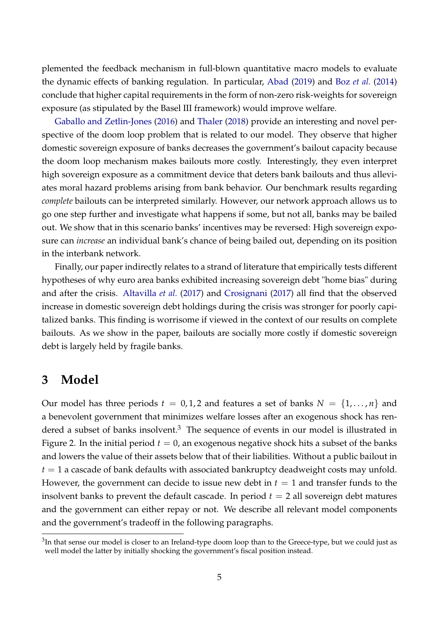plemented the feedback mechanism in full-blown quantitative macro models to evaluate the dynamic effects of banking regulation. In particular, [Abad](#page-33-9) [\(2019\)](#page-33-9) and Boz *[et al.](#page-33-10)* [\(2014\)](#page-33-10) conclude that higher capital requirements in the form of non-zero risk-weights for sovereign exposure (as stipulated by the Basel III framework) would improve welfare.

[Gaballo and Zetlin-Jones](#page-34-8) [\(2016\)](#page-34-8) and [Thaler](#page-35-3) [\(2018\)](#page-35-3) provide an interesting and novel perspective of the doom loop problem that is related to our model. They observe that higher domestic sovereign exposure of banks decreases the government's bailout capacity because the doom loop mechanism makes bailouts more costly. Interestingly, they even interpret high sovereign exposure as a commitment device that deters bank bailouts and thus alleviates moral hazard problems arising from bank behavior. Our benchmark results regarding *complete* bailouts can be interpreted similarly. However, our network approach allows us to go one step further and investigate what happens if some, but not all, banks may be bailed out. We show that in this scenario banks' incentives may be reversed: High sovereign exposure can *increase* an individual bank's chance of being bailed out, depending on its position in the interbank network.

Finally, our paper indirectly relates to a strand of literature that empirically tests different hypotheses of why euro area banks exhibited increasing sovereign debt "home bias" during and after the crisis. [Altavilla](#page-33-8) *et al.* [\(2017\)](#page-33-8) and [Crosignani](#page-34-9) [\(2017\)](#page-34-9) all find that the observed increase in domestic sovereign debt holdings during the crisis was stronger for poorly capitalized banks. This finding is worrisome if viewed in the context of our results on complete bailouts. As we show in the paper, bailouts are socially more costly if domestic sovereign debt is largely held by fragile banks.

# **3 Model**

Our model has three periods  $t = 0, 1, 2$  and features a set of banks  $N = \{1, \ldots, n\}$  and a benevolent government that minimizes welfare losses after an exogenous shock has rendered a subset of banks insolvent.<sup>3</sup> The sequence of events in our model is illustrated in Figure [2.](#page-7-0) In the initial period  $t = 0$ , an exogenous negative shock hits a subset of the banks and lowers the value of their assets below that of their liabilities. Without a public bailout in  $t = 1$  a cascade of bank defaults with associated bankruptcy deadweight costs may unfold. However, the government can decide to issue new debt in  $t = 1$  and transfer funds to the insolvent banks to prevent the default cascade. In period  $t = 2$  all sovereign debt matures and the government can either repay or not. We describe all relevant model components and the government's tradeoff in the following paragraphs.

 $^3$ In that sense our model is closer to an Ireland-type doom loop than to the Greece-type, but we could just as well model the latter by initially shocking the government's fiscal position instead.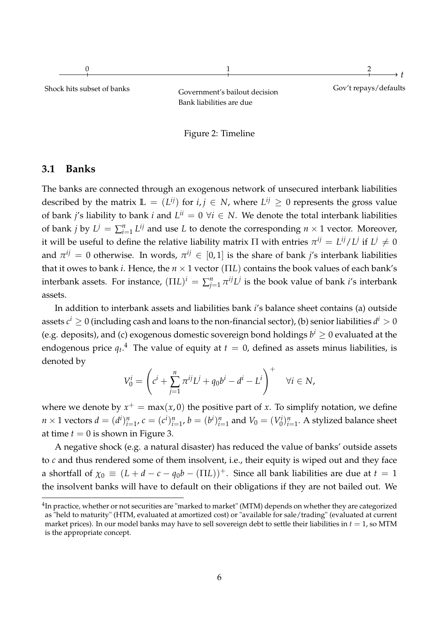<span id="page-7-0"></span>



## **3.1 Banks**

The banks are connected through an exogenous network of unsecured interbank liabilities described by the matrix  $\mathbb{L} = (L^{ij})$  for  $i, j \in \mathbb{N}$ , where  $L^{ij} \geq 0$  represents the gross value of bank *j's* liability to bank *i* and  $L^{ii} = 0 \ \forall i \in N$ . We denote the total interbank liabilities of bank *j* by  $L^j = \sum_{i=1}^n L^{ij}$  and use *L* to denote the corresponding  $n \times 1$  vector. Moreover, it will be useful to define the relative liability matrix  $\Pi$  with entries  $\pi^{ij} = L^{ij}/L^{j}$  if  $L^{j} \neq 0$ and  $\pi^{ij} = 0$  otherwise. In words,  $\pi^{ij} \in [0,1]$  is the share of bank *j'*s interbank liabilities that it owes to bank *i*. Hence, the *n* × 1 vector (Π*L*) contains the book values of each bank's interbank assets. For instance,  $(\Pi L)^i = \sum_{j=1}^n \pi^{ij} L^j$  is the book value of bank *i*'s interbank assets.

In addition to interbank assets and liabilities bank *i*'s balance sheet contains (a) outside assets  $c^i \geq 0$  (including cash and loans to the non-financial sector), (b) senior liabilities  $d^i > 0$ (e.g. deposits), and (c) exogenous domestic sovereign bond holdings  $b^i \geq 0$  evaluated at the endogenous price  $q_t.^4$  The value of equity at  $t=0$ , defined as assets minus liabilities, is denoted by

<span id="page-7-1"></span>
$$
V_0^i = \left( c^i + \sum_{j=1}^n \pi^{ij} L^j + q_0 b^i - d^i - L^i \right)^+ \quad \forall i \in N,
$$

where we denote by  $x^+ = \max(x, 0)$  the positive part of *x*. To simplify notation, we define  $n \times 1$  vectors  $d = (d^i)_{i=1}^n$ ,  $c = (c^i)_{i=1}^n$ ,  $b = (b^i)_{i=1}^n$  and  $V_0 = (V_0^i)$  $\binom{n}{0}$   $\binom{n}{i=1}$ . A stylized balance sheet at time  $t = 0$  is shown in Figure [3.](#page-8-0)

A negative shock (e.g. a natural disaster) has reduced the value of banks' outside assets to *c* and thus rendered some of them insolvent, i.e., their equity is wiped out and they face a shortfall of  $\chi_0 \equiv (L + d - c - q_0 b - (\Pi L))^+$ . Since all bank liabilities are due at  $t = 1$ the insolvent banks will have to default on their obligations if they are not bailed out. We

 $^4$ In practice, whether or not securities are "marked to market" (MTM) depends on whether they are categorized as "held to maturity" (HTM, evaluated at amortized cost) or "available for sale/trading" (evaluated at current market prices). In our model banks may have to sell sovereign debt to settle their liabilities in  $t = 1$ , so MTM is the appropriate concept.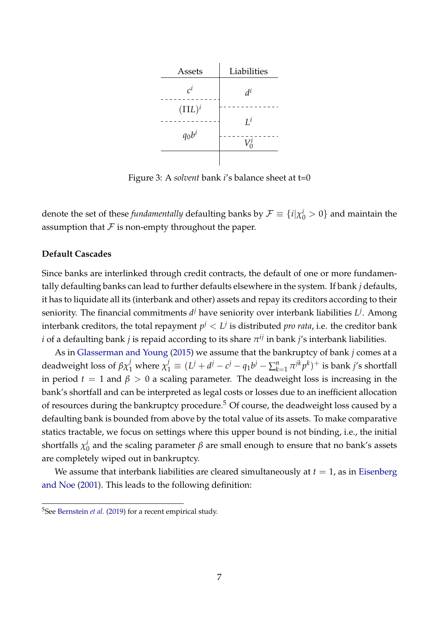<span id="page-8-0"></span>

Figure 3: A *solvent* bank *i*'s balance sheet at t=0

denote the set of these *fundamentally* defaulting banks by  $\mathcal{F}\equiv\{i|\chi_0^i>0\}$  and maintain the assumption that  $F$  is non-empty throughout the paper.

### **Default Cascades**

Since banks are interlinked through credit contracts, the default of one or more fundamentally defaulting banks can lead to further defaults elsewhere in the system. If bank *j* defaults, it has to liquidate all its (interbank and other) assets and repay its creditors according to their seniority. The financial commitments  $d^j$  have seniority over interbank liabilities  $L^j$ . Among interbank creditors, the total repayment  $p^j < L^j$  is distributed  $p$ ro rata, i.e. the creditor bank *i* of a defaulting bank *j* is repaid according to its share  $\pi^{ij}$  in bank *j'*s interbank liabilities.

As in [Glasserman and Young](#page-34-5) [\(2015\)](#page-34-5) we assume that the bankruptcy of bank *j* comes at a deadweight loss of  $\beta \chi_1^j$  where  $\chi_1^j\equiv (L^j+d^j-c^j-q_1b^j-\sum_{k=1}^n\pi^{jk}p^k)^+$  is bank j's shortfall in period  $t = 1$  and  $\beta > 0$  a scaling parameter. The deadweight loss is increasing in the bank's shortfall and can be interpreted as legal costs or losses due to an inefficient allocation of resources during the bankruptcy procedure.<sup>5</sup> Of course, the deadweight loss caused by a defaulting bank is bounded from above by the total value of its assets. To make comparative statics tractable, we focus on settings where this upper bound is not binding, i.e., the initial shortfalls  $\chi^i_0$  $^{\iota}_{0}$  and the scaling parameter  $\beta$  are small enough to ensure that no bank's assets are completely wiped out in bankruptcy.

We assume that interbank liabilities are cleared simultaneously at  $t = 1$ , as in [Eisenberg](#page-34-6) [and Noe](#page-34-6) [\(2001\)](#page-34-6). This leads to the following definition:

<sup>5</sup>See [Bernstein](#page-33-11) *et al.* [\(2019\)](#page-33-11) for a recent empirical study.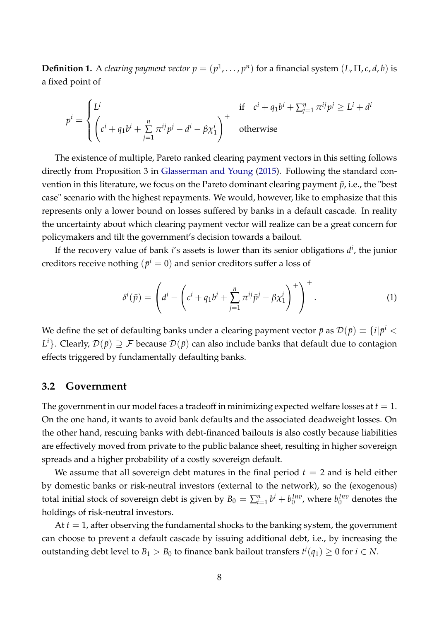<span id="page-9-0"></span>**Definition 1.** A *clearing payment vector*  $p = (p^1, \ldots, p^n)$  *for a financial system*  $(L, \Pi, c, d, b)$  *is* a fixed point of

$$
p^{i} = \begin{cases} L^{i} & \text{if } c^{i} + q_{1}b^{i} + \sum_{j=1}^{n} \pi^{ij}p^{j} \ge L^{i} + d^{i} \\ \left(c^{i} + q_{1}b^{i} + \sum_{j=1}^{n} \pi^{ij}p^{j} - d^{i} - \beta \chi_{1}^{i}\right)^{+} & \text{otherwise} \end{cases}
$$

The existence of multiple, Pareto ranked clearing payment vectors in this setting follows directly from Proposition 3 in [Glasserman and Young](#page-34-5) [\(2015\)](#page-34-5). Following the standard convention in this literature, we focus on the Pareto dominant clearing payment  $\bar{p}$ , i.e., the "best" case" scenario with the highest repayments. We would, however, like to emphasize that this represents only a lower bound on losses suffered by banks in a default cascade. In reality the uncertainty about which clearing payment vector will realize can be a great concern for policymakers and tilt the government's decision towards a bailout.

If the recovery value of bank *i*'s assets is lower than its senior obligations *d i* , the junior creditors receive nothing  $(\bar{p}^i = 0)$  and senior creditors suffer a loss of

$$
\delta^i(\bar{p}) = \left(d^i - \left(c^i + q_1 b^i + \sum_{j=1}^n \pi^{ij} \bar{p}^j - \beta \chi_1^i\right)^+\right)^+.
$$
 (1)

We define the set of defaulting banks under a clearing payment vector  $\bar{p}$  as  $\mathcal{D}(\bar{p})\equiv\{i|\bar{p}^i<\bar{p}\}$  $L^i$ }. Clearly,  $\mathcal{D}(\bar{p})\supseteq\mathcal{F}$  because  $\mathcal{D}(\bar{p})$  can also include banks that default due to contagion effects triggered by fundamentally defaulting banks.

## **3.2 Government**

The government in our model faces a tradeoff in minimizing expected welfare losses at  $t = 1$ . On the one hand, it wants to avoid bank defaults and the associated deadweight losses. On the other hand, rescuing banks with debt-financed bailouts is also costly because liabilities are effectively moved from private to the public balance sheet, resulting in higher sovereign spreads and a higher probability of a costly sovereign default.

We assume that all sovereign debt matures in the final period  $t = 2$  and is held either by domestic banks or risk-neutral investors (external to the network), so the (exogenous) total initial stock of sovereign debt is given by  $B_0 = \sum_{i=1}^n b^i + b_0^{Inv}$  $b_0^{Inv}$ , where  $b_0^{Inv}$  $n_0^{Inv}$  denotes the holdings of risk-neutral investors.

At *t* = 1, after observing the fundamental shocks to the banking system, the government can choose to prevent a default cascade by issuing additional debt, i.e., by increasing the outstanding debt level to  $B_1 > B_0$  to finance bank bailout transfers  $t^i(q_1) \geq 0$  for  $i \in N$ .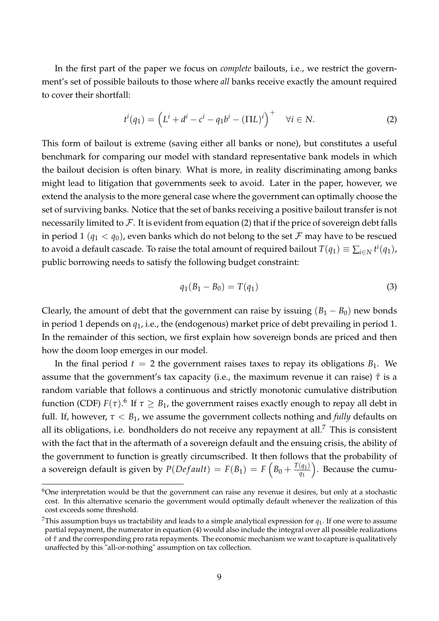In the first part of the paper we focus on *complete* bailouts, i.e., we restrict the government's set of possible bailouts to those where *all* banks receive exactly the amount required to cover their shortfall:

<span id="page-10-0"></span>
$$
t^{i}(q_{1}) = \left(L^{i} + d^{i} - c^{i} - q_{1}b^{i} - (\Pi L)^{i}\right)^{+} \quad \forall i \in N.
$$
 (2)

This form of bailout is extreme (saving either all banks or none), but constitutes a useful benchmark for comparing our model with standard representative bank models in which the bailout decision is often binary. What is more, in reality discriminating among banks might lead to litigation that governments seek to avoid. Later in the paper, however, we extend the analysis to the more general case where the government can optimally choose the set of surviving banks. Notice that the set of banks receiving a positive bailout transfer is not necessarily limited to  $\mathcal F$ . It is evident from equation [\(2\)](#page-10-0) that if the price of sovereign debt falls in period 1 ( $q_1 < q_0$ ), even banks which do not belong to the set F may have to be rescued to avoid a default cascade. To raise the total amount of required bailout  $T(q_1) \equiv \sum_{i\in N} t^i(q_1)$ , public borrowing needs to satisfy the following budget constraint:

<span id="page-10-1"></span>
$$
q_1(B_1 - B_0) = T(q_1)
$$
 (3)

Clearly, the amount of debt that the government can raise by issuing  $(B_1 - B_0)$  new bonds in period 1 depends on *q*1, i.e., the (endogenous) market price of debt prevailing in period 1. In the remainder of this section, we first explain how sovereign bonds are priced and then how the doom loop emerges in our model.

In the final period  $t = 2$  the government raises taxes to repay its obligations  $B_1$ . We assume that the government's tax capacity (i.e., the maximum revenue it can raise)  $\tilde{\tau}$  is a random variable that follows a continuous and strictly monotonic cumulative distribution function (CDF)  $F(\tau)$ .<sup>6</sup> If  $\tau \geq B_1$ , the government raises exactly enough to repay all debt in full. If, however,  $\tau < B_1$ , we assume the government collects nothing and *fully* defaults on all its obligations, i.e. bondholders do not receive any repayment at all.<sup>7</sup> This is consistent with the fact that in the aftermath of a sovereign default and the ensuing crisis, the ability of the government to function is greatly circumscribed. It then follows that the probability of a sovereign default is given by  $P(Default) = F(B_1) = F\left(B_0 + \frac{T(q_1)}{q_1}\right)$ *q*1 . Because the cumu-

 $6$ One interpretation would be that the government can raise any revenue it desires, but only at a stochastic cost. In this alternative scenario the government would optimally default whenever the realization of this cost exceeds some threshold.

<sup>&</sup>lt;sup>7</sup>This assumption buys us tractability and leads to a simple analytical expression for  $q_1$ . If one were to assume partial repayment, the numerator in equation [\(4\)](#page-11-0) would also include the integral over all possible realizations of *τ*˜ and the corresponding pro rata repayments. The economic mechanism we want to capture is qualitatively unaffected by this "all-or-nothing" assumption on tax collection.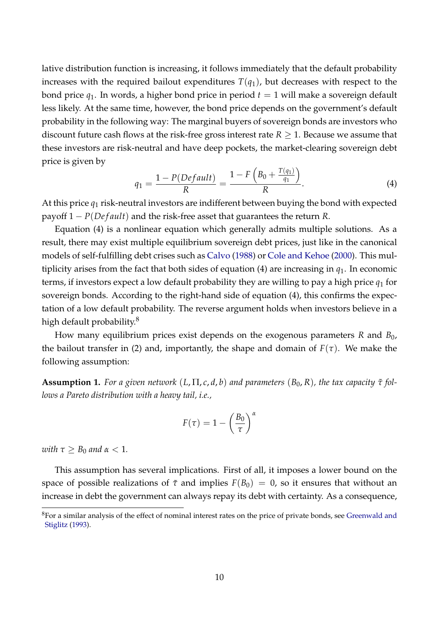lative distribution function is increasing, it follows immediately that the default probability increases with the required bailout expenditures  $T(q_1)$ , but decreases with respect to the bond price  $q_1$ . In words, a higher bond price in period  $t = 1$  will make a sovereign default less likely. At the same time, however, the bond price depends on the government's default probability in the following way: The marginal buyers of sovereign bonds are investors who discount future cash flows at the risk-free gross interest rate *R* ≥ 1. Because we assume that these investors are risk-neutral and have deep pockets, the market-clearing sovereign debt price is given by

<span id="page-11-0"></span>
$$
q_1 = \frac{1 - P(Default)}{R} = \frac{1 - F\left(B_0 + \frac{T(q_1)}{q_1}\right)}{R}.
$$
 (4)

At this price *q*<sup>1</sup> risk-neutral investors are indifferent between buying the bond with expected payoff 1 − *P*(*De f ault*) and the risk-free asset that guarantees the return *R*.

Equation [\(4\)](#page-11-0) is a nonlinear equation which generally admits multiple solutions. As a result, there may exist multiple equilibrium sovereign debt prices, just like in the canonical models of self-fulfilling debt crises such as [Calvo](#page-34-10) [\(1988\)](#page-34-10) or [Cole and Kehoe](#page-34-11) [\(2000\)](#page-34-11). This multiplicity arises from the fact that both sides of equation [\(4\)](#page-11-0) are increasing in *q*1. In economic terms, if investors expect a low default probability they are willing to pay a high price  $q_1$  for sovereign bonds. According to the right-hand side of equation [\(4\)](#page-11-0), this confirms the expectation of a low default probability. The reverse argument holds when investors believe in a high default probability.<sup>8</sup>

How many equilibrium prices exist depends on the exogenous parameters *R* and *B*0, the bailout transfer in [\(2\)](#page-10-0) and, importantly, the shape and domain of  $F(\tau)$ . We make the following assumption:

<span id="page-11-1"></span>**Assumption 1.** For a given network  $(L,\Pi,c,d,b)$  and parameters  $(B_0,R)$ , the tax capacity  $\tilde{\tau}$  fol*lows a Pareto distribution with a heavy tail, i.e.,*

<span id="page-11-2"></span>
$$
F(\tau) = 1 - \left(\frac{B_0}{\tau}\right)^{\alpha}
$$

*with*  $\tau > B_0$  *and*  $\alpha < 1$ *.* 

This assumption has several implications. First of all, it imposes a lower bound on the space of possible realizations of  $\tilde{\tau}$  and implies  $F(B_0) = 0$ , so it ensures that without an increase in debt the government can always repay its debt with certainty. As a consequence,

 ${}^{8}$ For a similar analysis of the effect of nominal interest rates on the price of private bonds, see [Greenwald and](#page-34-12) [Stiglitz](#page-34-12) [\(1993\)](#page-34-12).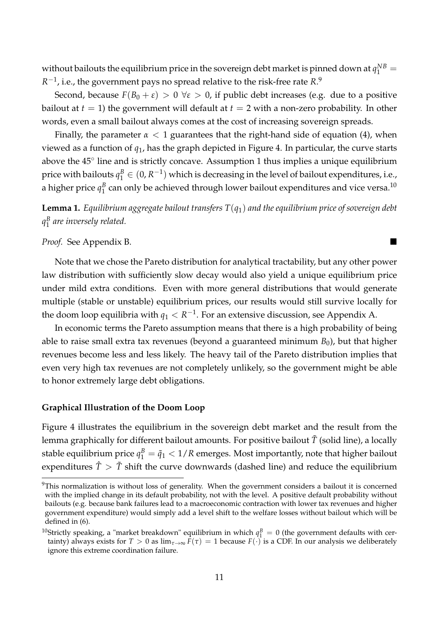without bailouts the equilibrium price in the sovereign debt market is pinned down at  $q_1^{NB} =$  $R^{-1}$ , i.e., the government pays no spread relative to the risk-free rate  $R.^9$ 

Second, because  $F(B_0 + \varepsilon) > 0 \ \forall \varepsilon > 0$ , if public debt increases (e.g. due to a positive bailout at  $t = 1$ ) the government will default at  $t = 2$  with a non-zero probability. In other words, even a small bailout always comes at the cost of increasing sovereign spreads.

Finally, the parameter  $\alpha < 1$  guarantees that the right-hand side of equation [\(4\)](#page-11-0), when viewed as a function of *q*1, has the graph depicted in Figure [4.](#page-13-0) In particular, the curve starts above the 45° line and is strictly concave. Assumption [1](#page-11-1) thus implies a unique equilibrium price with bailouts  $q_1^B \in (0,R^{-1})$  which is decreasing in the level of bailout expenditures, i.e., a higher price  $q_1^B$  $_1^B$  can only be achieved through lower bailout expenditures and vice versa. $^{10}$ 

<span id="page-12-0"></span>**Lemma 1.** *Equilibrium aggregate bailout transfers T*(*q*1) *and the equilibrium price of sovereign debt q B* 1 *are inversely related.*

*Proof.* See Appendix [B.](#page-38-0)

Note that we chose the Pareto distribution for analytical tractability, but any other power law distribution with sufficiently slow decay would also yield a unique equilibrium price under mild extra conditions. Even with more general distributions that would generate multiple (stable or unstable) equilibrium prices, our results would still survive locally for the doom loop equilibria with  $q_1 < R^{-1}$ . For an extensive discussion, see Appendix [A.](#page-35-4)

In economic terms the Pareto assumption means that there is a high probability of being able to raise small extra tax revenues (beyond a guaranteed minimum  $B_0$ ), but that higher revenues become less and less likely. The heavy tail of the Pareto distribution implies that even very high tax revenues are not completely unlikely, so the government might be able to honor extremely large debt obligations.

#### **Graphical Illustration of the Doom Loop**

Figure [4](#page-13-0) illustrates the equilibrium in the sovereign debt market and the result from the lemma graphically for different bailout amounts. For positive bailout  $\tilde{T}$  (solid line), a locally stable equilibrium price  $q_1^B = \tilde{q}_1 < 1/R$  emerges. Most importantly, note that higher bailout expenditures  $\hat{T} > \tilde{T}$  shift the curve downwards (dashed line) and reduce the equilibrium

<sup>&</sup>lt;sup>9</sup>This normalization is without loss of generality. When the government considers a bailout it is concerned with the implied change in its default probability, not with the level. A positive default probability without bailouts (e.g. because bank failures lead to a macroeconomic contraction with lower tax revenues and higher government expenditure) would simply add a level shift to the welfare losses without bailout which will be defined in [\(6\)](#page-13-1).

<sup>&</sup>lt;sup>10</sup>Strictly speaking, a "market breakdown" equilibrium in which  $q_1^B = 0$  (the government defaults with certainty) always exists for  $T > 0$  as  $\lim_{\tau \to \infty} F(\tau) = 1$  because  $F(\cdot)$  is a CDF. In our analysis we deliberately ignore this extreme coordination failure.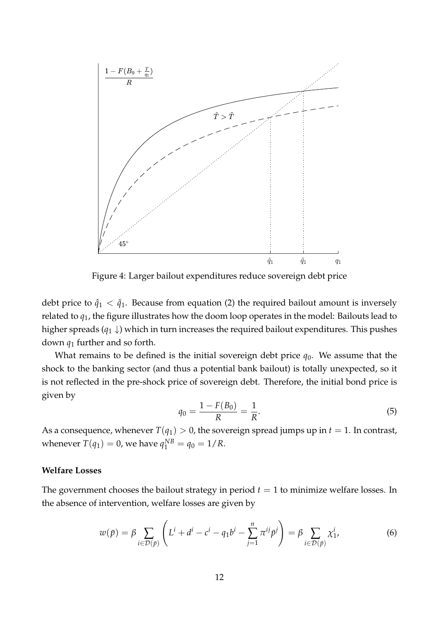<span id="page-13-0"></span>

Figure 4: Larger bailout expenditures reduce sovereign debt price

debt price to  $\hat{q}_1 < \tilde{q}_1$ . Because from equation [\(2\)](#page-10-0) the required bailout amount is inversely related to *q*1, the figure illustrates how the doom loop operates in the model: Bailouts lead to higher spreads  $(q_1 \downarrow)$  which in turn increases the required bailout expenditures. This pushes down *q*<sup>1</sup> further and so forth.

What remains to be defined is the initial sovereign debt price  $q_0$ . We assume that the shock to the banking sector (and thus a potential bank bailout) is totally unexpected, so it is not reflected in the pre-shock price of sovereign debt. Therefore, the initial bond price is given by

<span id="page-13-1"></span>
$$
q_0 = \frac{1 - F(B_0)}{R} = \frac{1}{R}.\tag{5}
$$

As a consequence, whenever  $T(q_1) > 0$ , the sovereign spread jumps up in  $t = 1$ . In contrast, whenever  $T(q_1) = 0$ , we have  $q_1^{NB} = q_0 = 1/R$ .

#### **Welfare Losses**

The government chooses the bailout strategy in period  $t = 1$  to minimize welfare losses. In the absence of intervention, welfare losses are given by

$$
w(\bar{p}) = \beta \sum_{i \in \mathcal{D}(\bar{p})} \left( L^i + d^i - c^i - q_1 b^i - \sum_{j=1}^n \pi^{ij} \bar{p}^j \right) = \beta \sum_{i \in \mathcal{D}(\bar{p})} \chi_1^i,
$$
(6)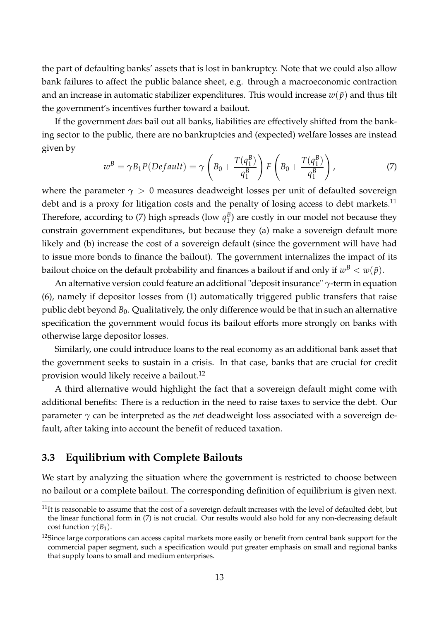the part of defaulting banks' assets that is lost in bankruptcy. Note that we could also allow bank failures to affect the public balance sheet, e.g. through a macroeconomic contraction and an increase in automatic stabilizer expenditures. This would increase  $w(\bar{p})$  and thus tilt the government's incentives further toward a bailout.

If the government *does* bail out all banks, liabilities are effectively shifted from the banking sector to the public, there are no bankruptcies and (expected) welfare losses are instead given by

<span id="page-14-0"></span>
$$
w^B = \gamma B_1 P (Default) = \gamma \left( B_0 + \frac{T(q_1^B)}{q_1^B} \right) F \left( B_0 + \frac{T(q_1^B)}{q_1^B} \right), \tag{7}
$$

where the parameter  $\gamma > 0$  measures deadweight losses per unit of defaulted sovereign debt and is a proxy for litigation costs and the penalty of losing access to debt markets.<sup>11</sup> Therefore, according to [\(7\)](#page-14-0) high spreads (low  $q_1^B$  $_1^B$ ) are costly in our model not because they constrain government expenditures, but because they (a) make a sovereign default more likely and (b) increase the cost of a sovereign default (since the government will have had to issue more bonds to finance the bailout). The government internalizes the impact of its bailout choice on the default probability and finances a bailout if and only if  $w^B < w(\bar{p}).$ 

An alternative version could feature an additional "deposit insurance" *γ*-term in equation [\(6\)](#page-13-1), namely if depositor losses from [\(1\)](#page-7-1) automatically triggered public transfers that raise public debt beyond *B*0. Qualitatively, the only difference would be that in such an alternative specification the government would focus its bailout efforts more strongly on banks with otherwise large depositor losses.

Similarly, one could introduce loans to the real economy as an additional bank asset that the government seeks to sustain in a crisis. In that case, banks that are crucial for credit provision would likely receive a bailout.<sup>12</sup>

A third alternative would highlight the fact that a sovereign default might come with additional benefits: There is a reduction in the need to raise taxes to service the debt. Our parameter *γ* can be interpreted as the *net* deadweight loss associated with a sovereign default, after taking into account the benefit of reduced taxation.

## **3.3 Equilibrium with Complete Bailouts**

We start by analyzing the situation where the government is restricted to choose between no bailout or a complete bailout. The corresponding definition of equilibrium is given next.

 $11$ It is reasonable to assume that the cost of a sovereign default increases with the level of defaulted debt, but the linear functional form in [\(7\)](#page-14-0) is not crucial. Our results would also hold for any non-decreasing default cost function  $\gamma(B_1)$ .

<sup>&</sup>lt;sup>12</sup>Since large corporations can access capital markets more easily or benefit from central bank support for the commercial paper segment, such a specification would put greater emphasis on small and regional banks that supply loans to small and medium enterprises.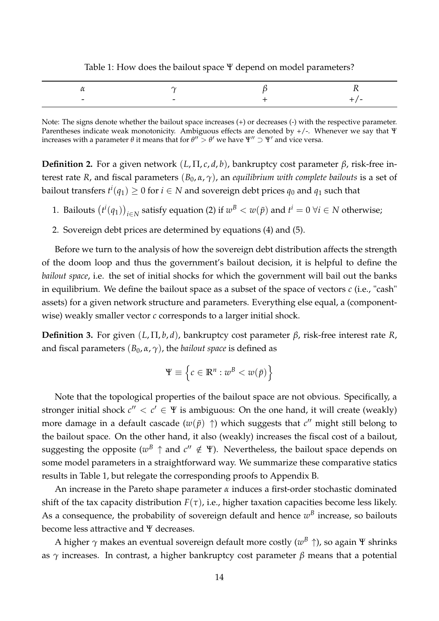<span id="page-15-0"></span>

| Table 1: How does the bailout space $\Psi$ depend on model parameters? |  |
|------------------------------------------------------------------------|--|
|                                                                        |  |

|                          |  | -- - |
|--------------------------|--|------|
| $\overline{\phantom{0}}$ |  |      |

Note: The signs denote whether the bailout space increases (+) or decreases (-) with the respective parameter. Parentheses indicate weak monotonicity. Ambiguous effects are denoted by +/-. Whenever we say that Ψ increases with a parameter  $\theta$  it means that for  $\theta'' > \theta'$  we have  $\Psi'' \supset \Psi'$  and vice versa.

**Definition 2.** For a given network (*L*, Π, *c*, *d*, *b*), bankruptcy cost parameter *β*, risk-free interest rate *R*, and fiscal parameters  $(B_0, \alpha, \gamma)$ , an *equilibrium with complete bailouts* is a set of bailout transfers  $t^i(q_1) \geq 0$  for  $i \in N$  and sovereign debt prices  $q_0$  and  $q_1$  such that

- 1. Bailouts  $(t^i(q_1))_{i \in N}$  satisfy equation [\(2\)](#page-10-0) if  $w^B < w(\bar{p})$  and  $t^i = 0 \ \forall i \in N$  otherwise;
- 2. Sovereign debt prices are determined by equations [\(4\)](#page-11-0) and [\(5\)](#page-11-2).

Before we turn to the analysis of how the sovereign debt distribution affects the strength of the doom loop and thus the government's bailout decision, it is helpful to define the *bailout space*, i.e. the set of initial shocks for which the government will bail out the banks in equilibrium. We define the bailout space as a subset of the space of vectors *c* (i.e., "cash" assets) for a given network structure and parameters. Everything else equal, a (componentwise) weakly smaller vector *c* corresponds to a larger initial shock.

<span id="page-15-2"></span>**Definition 3.** For given (*L*, Π, *b*, *d*), bankruptcy cost parameter *β*, risk-free interest rate *R*, and fiscal parameters  $(B_0, \alpha, \gamma)$ , the *bailout space* is defined as

<span id="page-15-1"></span>
$$
\Psi \equiv \left\{ c \in \mathbb{R}^n : w^B < w(\bar{p}) \right\}
$$

Note that the topological properties of the bailout space are not obvious. Specifically, a stronger initial shock  $c'' < c' \in \Psi$  is ambiguous: On the one hand, it will create (weakly) more damage in a default cascade  $(w(\bar{p}) \uparrow)$  which suggests that  $c''$  might still belong to the bailout space. On the other hand, it also (weakly) increases the fiscal cost of a bailout, suggesting the opposite ( $w^B \uparrow$  and  $c'' \notin \Psi$ ). Nevertheless, the bailout space depends on some model parameters in a straightforward way. We summarize these comparative statics results in Table [1,](#page-15-0) but relegate the corresponding proofs to Appendix [B.](#page-38-1)

An increase in the Pareto shape parameter *α* induces a first-order stochastic dominated shift of the tax capacity distribution  $F(\tau)$ , i.e., higher taxation capacities become less likely. As a consequence, the probability of sovereign default and hence  $w^B$  increase, so bailouts become less attractive and Ψ decreases.

A higher *γ* makes an eventual sovereign default more costly (*w <sup>B</sup>* ↑), so again Ψ shrinks as *γ* increases. In contrast, a higher bankruptcy cost parameter *β* means that a potential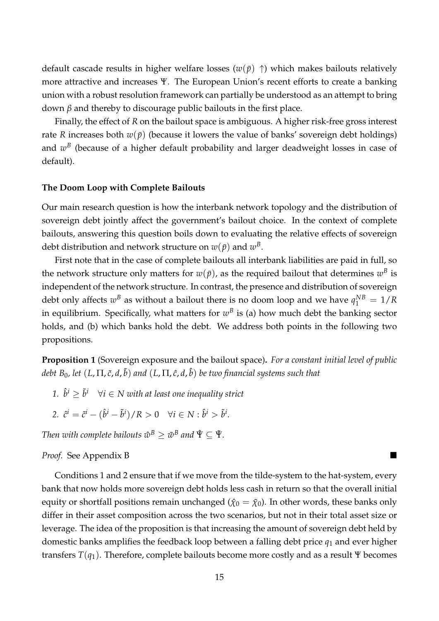default cascade results in higher welfare losses ( $w(\bar{p}) \uparrow$ ) which makes bailouts relatively more attractive and increases Ψ. The European Union's recent efforts to create a banking union with a robust resolution framework can partially be understood as an attempt to bring down *β* and thereby to discourage public bailouts in the first place.

Finally, the effect of *R* on the bailout space is ambiguous. A higher risk-free gross interest rate *R* increases both  $w(\bar{p})$  (because it lowers the value of banks' sovereign debt holdings) and  $w^B$  (because of a higher default probability and larger deadweight losses in case of default).

#### **The Doom Loop with Complete Bailouts**

Our main research question is how the interbank network topology and the distribution of sovereign debt jointly affect the government's bailout choice. In the context of complete bailouts, answering this question boils down to evaluating the relative effects of sovereign debt distribution and network structure on  $w(\bar{p})$  and  $w^B.$ 

First note that in the case of complete bailouts all interbank liabilities are paid in full, so the network structure only matters for  $w(\bar{p})$ , as the required bailout that determines  $w^B$  is independent of the network structure. In contrast, the presence and distribution of sovereign debt only affects  $w^B$  as without a bailout there is no doom loop and we have  $q_1^{NB} = 1/R$ in equilibrium. Specifically, what matters for  $w^B$  is (a) how much debt the banking sector holds, and (b) which banks hold the debt. We address both points in the following two propositions.

<span id="page-16-0"></span>**Proposition 1** (Sovereign exposure and the bailout space)**.** *For a constant initial level of public debt B*0*, let* (*L*, Π, *c*˜, *d*, ˜*b*) *and* (*L*, Π, *c*ˆ, *d*, ˆ*b*) *be two financial systems such that*

- 1.  $\hat{b}^i \geq \tilde{b}^i \quad \forall i \in \text{N}$  with at least one inequality strict
- *2.*  $\hat{c}^i = \tilde{c}^i (\hat{b}^i \tilde{b}^i)/R > 0 \quad \forall i \in N : \hat{b}^i > \tilde{b}^i.$

 $\text{Then with complete~bailouts~} \hat{w}^B \geq \tilde{w}^B$  and  $\hat{\Psi} \subseteq \tilde{\Psi}.$ 

#### *Proof.* See Appendix [B](#page-38-0)

Conditions 1 and 2 ensure that if we move from the tilde-system to the hat-system, every bank that now holds more sovereign debt holds less cash in return so that the overall initial equity or shortfall positions remain unchanged ( $\hat{\chi}_0 = \tilde{\chi}_0$ ). In other words, these banks only differ in their asset composition across the two scenarios, but not in their total asset size or leverage. The idea of the proposition is that increasing the amount of sovereign debt held by domestic banks amplifies the feedback loop between a falling debt price *q*<sup>1</sup> and ever higher transfers *T*(*q*1). Therefore, complete bailouts become more costly and as a result Ψ becomes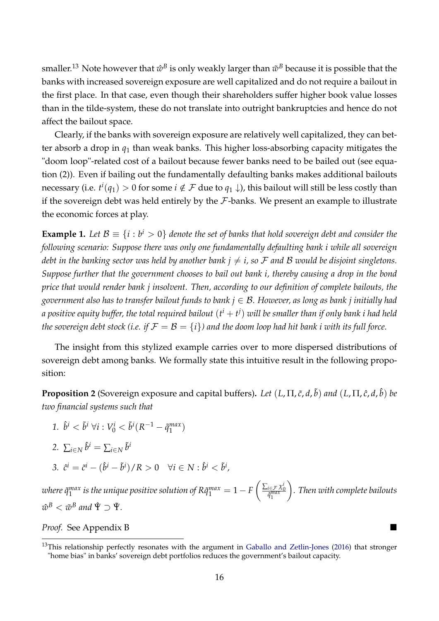smaller.<sup>13</sup> Note however that  $\hat w^B$  is only weakly larger than  $\tilde w^B$  because it is possible that the banks with increased sovereign exposure are well capitalized and do not require a bailout in the first place. In that case, even though their shareholders suffer higher book value losses than in the tilde-system, these do not translate into outright bankruptcies and hence do not affect the bailout space.

Clearly, if the banks with sovereign exposure are relatively well capitalized, they can better absorb a drop in *q*<sup>1</sup> than weak banks. This higher loss-absorbing capacity mitigates the "doom loop"-related cost of a bailout because fewer banks need to be bailed out (see equation [\(2\)](#page-10-0)). Even if bailing out the fundamentally defaulting banks makes additional bailouts necessary (i.e.  $t^i(q_1)>0$  for some  $i\notin \mathcal{F}$  due to  $q_1\downarrow$ ), this bailout will still be less costly than if the sovereign debt was held entirely by the  $F$ -banks. We present an example to illustrate the economic forces at play.

**Example 1.** Let  $\mathcal{B} \equiv \{i : b^i > 0\}$  denote the set of banks that hold sovereign debt and consider the *following scenario: Suppose there was only one fundamentally defaulting bank i while all sovereign debt in the banking sector was held by another bank*  $j \neq i$ *, so F and B would be disjoint singletons. Suppose further that the government chooses to bail out bank i, thereby causing a drop in the bond price that would render bank j insolvent. Then, according to our definition of complete bailouts, the government also has to transfer bailout funds to bank j* ∈ B*. However, as long as bank j initially had* a positive equity buffer, the total required bailout  $(\it t^i+t^j)$  will be smaller than if only bank i had held *the sovereign debt stock (i.e. if*  $\mathcal{F} = \mathcal{B} = \{i\}$ *) and the doom loop had hit bank i with its full force.* 

The insight from this stylized example carries over to more dispersed distributions of sovereign debt among banks. We formally state this intuitive result in the following proposition:

<span id="page-17-0"></span>**Proposition 2** (Sovereign exposure and capital buffers)**.** *Let* (*L*, Π, *c*˜, *d*, ˜*b*) *and* (*L*, Π, *c*ˆ, *d*, ˆ*b*) *be two financial systems such that*

1. 
$$
\hat{b}^i < \tilde{b}^i \,\forall i: V^i_0 < \tilde{b}^i(R^{-1} - \tilde{q}^{max}_1)
$$

2. 
$$
\sum_{i \in N} \hat{b}^i = \sum_{i \in N} \tilde{b}^i
$$

3. 
$$
\hat{c}^i = \tilde{c}^i - (\hat{b}^i - \tilde{b}^i)/R > 0 \quad \forall i \in N : \hat{b}^i < \tilde{b}^i
$$

*where q*˜ *max*  $\int_1^{max}$  is the unique positive solution of R $\tilde{q}_1^{max}=1-F\left(\frac{\sum_{i\in\mathcal{F}}\chi_0^i}{\tilde{q}_1^{max}}\right)$  $\setminus$ *. Then with complete bailouts*  $\hat{w}^B < \tilde{w}^B$  and  $\hat{\Psi} \supset \tilde{\Psi}$ .

*Proof.* See Appendix [B](#page-38-0)

<sup>&</sup>lt;sup>13</sup>This relationship perfectly resonates with the argument in [Gaballo and Zetlin-Jones](#page-34-8) [\(2016\)](#page-34-8) that stronger "home bias" in banks' sovereign debt portfolios reduces the government's bailout capacity.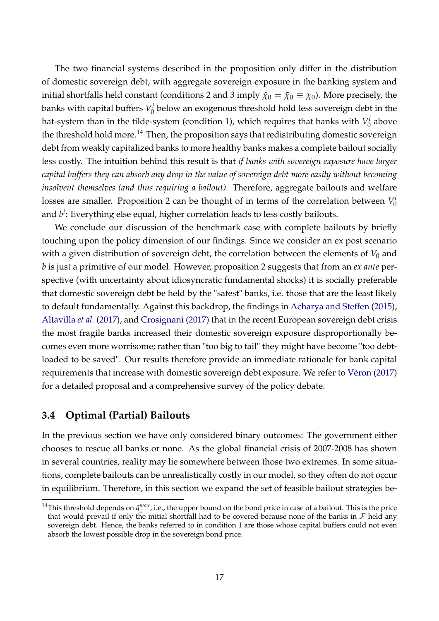The two financial systems described in the proposition only differ in the distribution of domestic sovereign debt, with aggregate sovereign exposure in the banking system and initial shortfalls held constant (conditions 2 and 3 imply  $\hat{\chi}_0 = \tilde{\chi}_0 \equiv \chi_0$ ). More precisely, the banks with capital buffers *V i*  $\frac{n}{0}$  below an exogenous threshold hold less sovereign debt in the hat-system than in the tilde-system (condition 1), which requires that banks with *V i*  $\int_0^t$  above the threshold hold more.<sup>14</sup> Then, the proposition says that redistributing domestic sovereign debt from weakly capitalized banks to more healthy banks makes a complete bailout socially less costly. The intuition behind this result is that *if banks with sovereign exposure have larger capital buffers they can absorb any drop in the value of sovereign debt more easily without becoming insolvent themselves (and thus requiring a bailout).* Therefore, aggregate bailouts and welfare losses are smaller. Proposition [2](#page-17-0) can be thought of in terms of the correlation between *V i*  $\theta$ and  $b^i$ : Everything else equal*,* higher correlation leads to less costly bailouts.

We conclude our discussion of the benchmark case with complete bailouts by briefly touching upon the policy dimension of our findings. Since we consider an ex post scenario with a given distribution of sovereign debt, the correlation between the elements of  $V_0$  and *b* is just a primitive of our model. However, proposition [2](#page-17-0) suggests that from an *ex ante* perspective (with uncertainty about idiosyncratic fundamental shocks) it is socially preferable that domestic sovereign debt be held by the "safest" banks, i.e. those that are the least likely to default fundamentally. Against this backdrop, the findings in [Acharya and Steffen](#page-33-12) [\(2015\)](#page-33-12), [Altavilla](#page-33-8) *et al.* [\(2017\)](#page-33-8), and [Crosignani](#page-34-9) [\(2017\)](#page-34-9) that in the recent European sovereign debt crisis the most fragile banks increased their domestic sovereign exposure disproportionally becomes even more worrisome; rather than "too big to fail" they might have become "too debtloaded to be saved". Our results therefore provide an immediate rationale for bank capital requirements that increase with domestic sovereign debt exposure. We refer to [Véron](#page-35-5) [\(2017\)](#page-35-5) for a detailed proposal and a comprehensive survey of the policy debate.

## **3.4 Optimal (Partial) Bailouts**

In the previous section we have only considered binary outcomes: The government either chooses to rescue all banks or none. As the global financial crisis of 2007-2008 has shown in several countries, reality may lie somewhere between those two extremes. In some situations, complete bailouts can be unrealistically costly in our model, so they often do not occur in equilibrium. Therefore, in this section we expand the set of feasible bailout strategies be-

<sup>&</sup>lt;sup>14</sup>This threshold depends on  $\tilde{q}^{max}_1$ , i.e., the upper bound on the bond price in case of a bailout. This is the price that would prevail if only the initial shortfall had to be covered because none of the banks in  $\mathcal F$  held any sovereign debt. Hence, the banks referred to in condition 1 are those whose capital buffers could not even absorb the lowest possible drop in the sovereign bond price.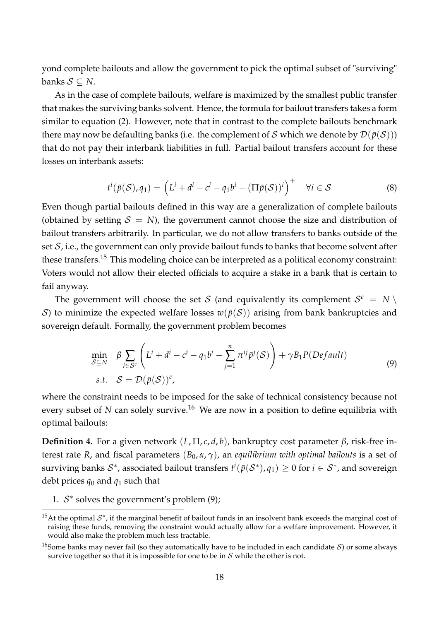yond complete bailouts and allow the government to pick the optimal subset of "surviving" banks  $S \subset N$ .

As in the case of complete bailouts, welfare is maximized by the smallest public transfer that makes the surviving banks solvent. Hence, the formula for bailout transfers takes a form similar to equation [\(2\)](#page-10-0). However, note that in contrast to the complete bailouts benchmark there may now be defaulting banks (i.e. the complement of S which we denote by  $\mathcal{D}(\bar{p}(S))$ ) that do not pay their interbank liabilities in full. Partial bailout transfers account for these losses on interbank assets:

$$
t^{i}(\bar{p}(\mathcal{S}), q_{1}) = \left(L^{i} + d^{i} - c^{i} - q_{1}b^{i} - (\Pi \bar{p}(\mathcal{S}))^{i}\right)^{+} \quad \forall i \in \mathcal{S}
$$
\n
$$
(8)
$$

Even though partial bailouts defined in this way are a generalization of complete bailouts (obtained by setting  $S = N$ ), the government cannot choose the size and distribution of bailout transfers arbitrarily. In particular, we do not allow transfers to banks outside of the set  $S$ , i.e., the government can only provide bailout funds to banks that become solvent after these transfers.<sup>15</sup> This modeling choice can be interpreted as a political economy constraint: Voters would not allow their elected officials to acquire a stake in a bank that is certain to fail anyway.

<span id="page-19-0"></span>The government will choose the set S (and equivalently its complement  $S^c = N \setminus I$ S) to minimize the expected welfare losses  $w(\bar{p}(S))$  arising from bank bankruptcies and sovereign default. Formally, the government problem becomes

$$
\min_{S \subseteq N} \beta \sum_{i \in S^c} \left( L^i + d^i - c^i - q_1 b^i - \sum_{j=1}^n \pi^{ij} \bar{p}^j(S) \right) + \gamma B_1 P (Default)
$$
\n
$$
\text{s.t.} \quad S = \mathcal{D}(\bar{p}(S))^c,\tag{9}
$$

where the constraint needs to be imposed for the sake of technical consistency because not every subset of *N* can solely survive.<sup>16</sup> We are now in a position to define equilibria with optimal bailouts:

**Definition 4.** For a given network (*L*, Π, *c*, *d*, *b*), bankruptcy cost parameter *β*, risk-free interest rate *R*, and fiscal parameters  $(B_0, \alpha, \gamma)$ , an *equilibrium with optimal bailouts* is a set of surviving banks  $\mathcal{S}^*$ , associated bailout transfers  $t^i(\bar{p}(\mathcal{S}^*),q_1)\geq 0$  for  $i\in \mathcal{S}^*$ , and sovereign debt prices  $q_0$  and  $q_1$  such that

1.  $S^*$  solves the government's problem [\(9\)](#page-19-0);

<sup>&</sup>lt;sup>15</sup>At the optimal  $S^*$ , if the marginal benefit of bailout funds in an insolvent bank exceeds the marginal cost of raising these funds, removing the constraint would actually allow for a welfare improvement. However, it would also make the problem much less tractable.

<sup>&</sup>lt;sup>16</sup>Some banks may never fail (so they automatically have to be included in each candidate S) or some always survive together so that it is impossible for one to be in  $S$  while the other is not.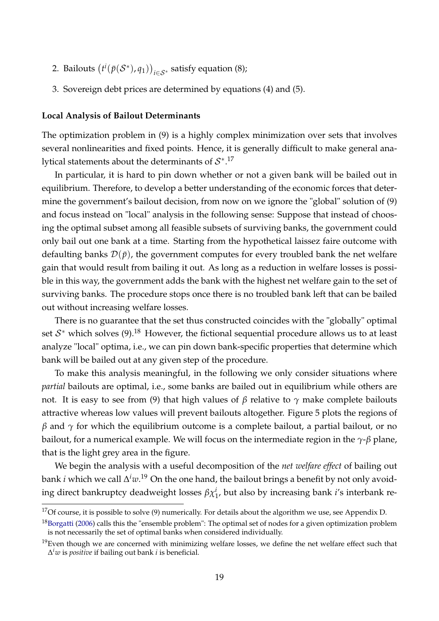- 2. Bailouts  $(t^i(\bar{p}(\mathcal{S}^*), q_1))_{i \in \mathcal{S}^*}$  satisfy equation [\(8\)](#page-15-1);
- 3. Sovereign debt prices are determined by equations [\(4\)](#page-11-0) and [\(5\)](#page-11-2).

#### **Local Analysis of Bailout Determinants**

The optimization problem in [\(9\)](#page-19-0) is a highly complex minimization over sets that involves several nonlinearities and fixed points. Hence, it is generally difficult to make general analytical statements about the determinants of  $\mathcal{S}^{*,17}$ 

In particular, it is hard to pin down whether or not a given bank will be bailed out in equilibrium. Therefore, to develop a better understanding of the economic forces that determine the government's bailout decision, from now on we ignore the "global" solution of [\(9\)](#page-19-0) and focus instead on "local" analysis in the following sense: Suppose that instead of choosing the optimal subset among all feasible subsets of surviving banks, the government could only bail out one bank at a time. Starting from the hypothetical laissez faire outcome with defaulting banks  $\mathcal{D}(\bar{p})$ , the government computes for every troubled bank the net welfare gain that would result from bailing it out. As long as a reduction in welfare losses is possible in this way, the government adds the bank with the highest net welfare gain to the set of surviving banks. The procedure stops once there is no troubled bank left that can be bailed out without increasing welfare losses.

There is no guarantee that the set thus constructed coincides with the "globally" optimal set  $\mathcal{S}^*$  which solves [\(9\)](#page-19-0).<sup>18</sup> However, the fictional sequential procedure allows us to at least analyze "local" optima, i.e., we can pin down bank-specific properties that determine which bank will be bailed out at any given step of the procedure.

To make this analysis meaningful, in the following we only consider situations where *partial* bailouts are optimal, i.e., some banks are bailed out in equilibrium while others are not. It is easy to see from [\(9\)](#page-19-0) that high values of  $β$  relative to  $γ$  make complete bailouts attractive whereas low values will prevent bailouts altogether. Figure [5](#page-21-0) plots the regions of  $β$  and  $γ$  for which the equilibrium outcome is a complete bailout, a partial bailout, or no bailout, for a numerical example. We will focus on the intermediate region in the *γ*-*β* plane, that is the light grey area in the figure.

We begin the analysis with a useful decomposition of the *net welfare effect* of bailing out bank *i* which we call ∆ *<sup>i</sup>w*. <sup>19</sup> On the one hand, the bailout brings a benefit by not only avoiding direct bankruptcy deadweight losses  $\beta \chi^i_1$ , but also by increasing bank *i'*s interbank re-

<sup>&</sup>lt;sup>17</sup>Of course, it is possible to solve [\(9\)](#page-19-0) numerically. For details about the algorithm we use, see Appendix [D.](#page-52-0)

<sup>&</sup>lt;sup>18</sup>[Borgatti](#page-33-13) [\(2006\)](#page-33-13) calls this the "ensemble problem": The optimal set of nodes for a given optimization problem is not necessarily the set of optimal banks when considered individually.

 $19$ Even though we are concerned with minimizing welfare losses, we define the net welfare effect such that ∆ *<sup>i</sup>w* is *positive* if bailing out bank *i* is beneficial.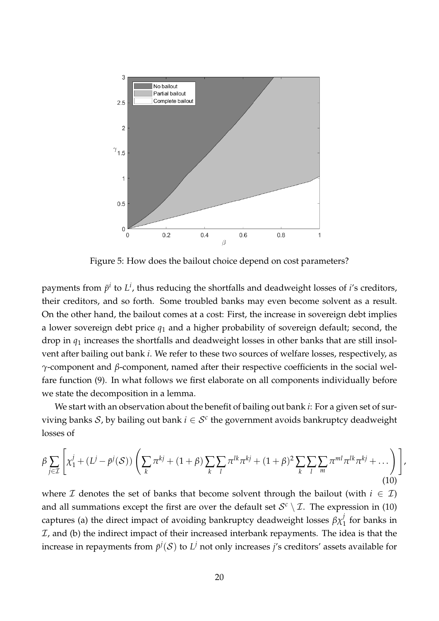<span id="page-21-0"></span>

Figure 5: How does the bailout choice depend on cost parameters?

payments from  $\bar{p}^i$  to  $L^i$ , thus reducing the shortfalls and deadweight losses of *i'*s creditors, their creditors, and so forth. Some troubled banks may even become solvent as a result. On the other hand, the bailout comes at a cost: First, the increase in sovereign debt implies a lower sovereign debt price *q*<sup>1</sup> and a higher probability of sovereign default; second, the drop in *q*<sup>1</sup> increases the shortfalls and deadweight losses in other banks that are still insolvent after bailing out bank *i*. We refer to these two sources of welfare losses, respectively, as *γ*-component and *β*-component, named after their respective coefficients in the social welfare function [\(9\)](#page-19-0). In what follows we first elaborate on all components individually before we state the decomposition in a lemma.

<span id="page-21-1"></span>We start with an observation about the benefit of bailing out bank *i*: For a given set of surviving banks S, by bailing out bank  $i \in S^c$  the government avoids bankruptcy deadweight losses of

$$
\beta \sum_{j \in \mathcal{I}} \left[ \chi_1^j + (L^j - \bar{p}^j(\mathcal{S})) \left( \sum_k \pi^{kj} + (1+\beta) \sum_k \sum_l \pi^{lk} \pi^{kj} + (1+\beta)^2 \sum_k \sum_l \sum_m \pi^{ml} \pi^{lk} \pi^{kj} + \dots \right) \right],
$$
\n(10)

where I denotes the set of banks that become solvent through the bailout (with  $i \in I$ ) and all summations except the first are over the default set  $\mathcal{S}^c \setminus \mathcal{I}$ . The expression in [\(10\)](#page-21-1) captures (a) the direct impact of avoiding bankruptcy deadweight losses  $\beta \chi_1^j$  for banks in  $I$ , and (b) the indirect impact of their increased interbank repayments. The idea is that the increase in repayments from  $\bar{p}^j({\cal S})$  to  $L^j$  not only increases  $j$ 's creditors' assets available for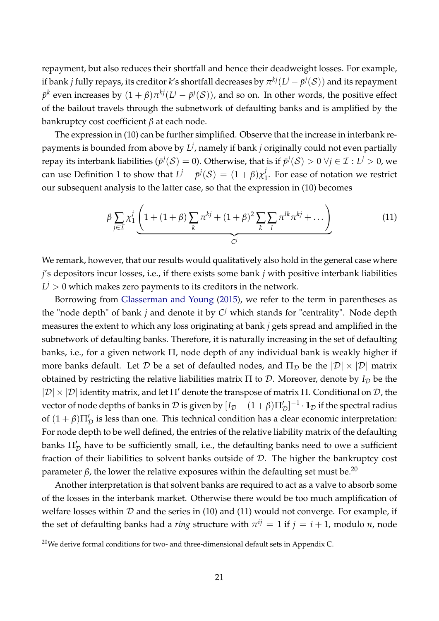repayment, but also reduces their shortfall and hence their deadweight losses. For example, if bank  $j$  fully repays, its creditor  $k$ 's shortfall decreases by  $\pi^{kj}(L^j - \bar{p}^j({\cal S}))$  and its repayment  $\bar{p}^k$  even increases by  $(1+\beta)\pi^{kj}(L^j-\bar{p}^j(\mathcal{S}))$ , and so on. In other words, the positive effect of the bailout travels through the subnetwork of defaulting banks and is amplified by the bankruptcy cost coefficient *β* at each node.

The expression in [\(10\)](#page-21-1) can be further simplified. Observe that the increase in interbank repayments is bounded from above by *L j* , namely if bank *j* originally could not even partially repay its interbank liabilities ( $\bar{p}^j({\cal S})=0$ ). Otherwise, that is if  $\bar{p}^j({\cal S})>0$   $\forall j\in{\cal I} : L^j>0$ , we can use Definition [1](#page-9-0) to show that  $L^j - \bar{p}^j({\cal S}) \, = \, (1 + \beta) \chi_1^j$  $\frac{1}{1}$ . For ease of notation we restrict our subsequent analysis to the latter case, so that the expression in [\(10\)](#page-21-1) becomes

<span id="page-22-0"></span>
$$
\beta \sum_{j \in \mathcal{I}} \chi_1^j \left( 1 + (1+\beta) \sum_k \pi^{kj} + (1+\beta)^2 \sum_k \sum_l \pi^{lk} \pi^{kj} + \dots \right) \tag{11}
$$

We remark, however, that our results would qualitatively also hold in the general case where *j*'s depositors incur losses, i.e., if there exists some bank *j* with positive interbank liabilities  $L^j > 0$  which makes zero payments to its creditors in the network.

Borrowing from [Glasserman and Young](#page-34-5) [\(2015\)](#page-34-5), we refer to the term in parentheses as the "node depth" of bank *j* and denote it by *C <sup>j</sup>* which stands for "centrality". Node depth measures the extent to which any loss originating at bank *j* gets spread and amplified in the subnetwork of defaulting banks. Therefore, it is naturally increasing in the set of defaulting banks, i.e., for a given network  $\Pi$ , node depth of any individual bank is weakly higher if more banks default. Let D be a set of defaulted nodes, and  $\Pi_{\mathcal{D}}$  be the  $|\mathcal{D}| \times |\mathcal{D}|$  matrix obtained by restricting the relative liabilities matrix  $\Pi$  to  $D$ . Moreover, denote by  $I_D$  be the  $|\mathcal{D}| \times |\mathcal{D}|$  identity matrix, and let  $\Pi'$  denote the transpose of matrix  $\Pi$ . Conditional on  $\mathcal{D}$ , the vector of node depths of banks in  $\cal D$  is given by  $[I_{\cal D}-(1+\beta)\Pi'_D]^{-1}\cdot 1\!\!1_{\cal D}$  if the spectral radius of  $(1 + \beta)\Pi'_\mathcal{D}$  is less than one. This technical condition has a clear economic interpretation: For node depth to be well defined, the entries of the relative liability matrix of the defaulting banks  $\Pi_\mathcal{D}'$  have to be sufficiently small, i.e., the defaulting banks need to owe a sufficient fraction of their liabilities to solvent banks outside of  $D$ . The higher the bankruptcy cost parameter *β*, the lower the relative exposures within the defaulting set must be.<sup>20</sup>

Another interpretation is that solvent banks are required to act as a valve to absorb some of the losses in the interbank market. Otherwise there would be too much amplification of welfare losses within  $D$  and the series in [\(10\)](#page-21-1) and [\(11\)](#page-22-0) would not converge. For example, if the set of defaulting banks had a *ring* structure with  $\pi^{ij} = 1$  if  $j = i + 1$ , modulo *n*, node

 $20$ We derive formal conditions for two- and three-dimensional default sets in Appendix [C.](#page-49-0)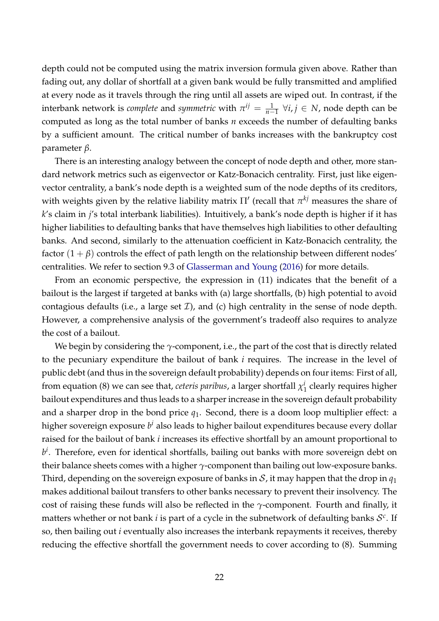depth could not be computed using the matrix inversion formula given above. Rather than fading out, any dollar of shortfall at a given bank would be fully transmitted and amplified at every node as it travels through the ring until all assets are wiped out. In contrast, if the  $\alpha$  interbank network is *complete* and *symmetric* with  $\pi^{ij} = \frac{1}{n-1} \,\, \forall i,j \in N$ , node depth can be computed as long as the total number of banks *n* exceeds the number of defaulting banks by a sufficient amount. The critical number of banks increases with the bankruptcy cost parameter *β*.

There is an interesting analogy between the concept of node depth and other, more standard network metrics such as eigenvector or Katz-Bonacich centrality. First, just like eigenvector centrality, a bank's node depth is a weighted sum of the node depths of its creditors, with weights given by the relative liability matrix  $\Pi'$  (recall that  $\pi^{kj}$  measures the share of *k*'s claim in *j*'s total interbank liabilities). Intuitively, a bank's node depth is higher if it has higher liabilities to defaulting banks that have themselves high liabilities to other defaulting banks. And second, similarly to the attenuation coefficient in Katz-Bonacich centrality, the factor  $(1 + \beta)$  controls the effect of path length on the relationship between different nodes' centralities. We refer to section 9.3 of [Glasserman and Young](#page-34-4) [\(2016\)](#page-34-4) for more details.

From an economic perspective, the expression in [\(11\)](#page-22-0) indicates that the benefit of a bailout is the largest if targeted at banks with (a) large shortfalls, (b) high potential to avoid contagious defaults (i.e., a large set  $\mathcal{I}$ ), and (c) high centrality in the sense of node depth. However, a comprehensive analysis of the government's tradeoff also requires to analyze the cost of a bailout.

We begin by considering the *γ*-component, i.e., the part of the cost that is directly related to the pecuniary expenditure the bailout of bank *i* requires. The increase in the level of public debt (and thus in the sovereign default probability) depends on four items: First of all, from equation [\(8\)](#page-15-1) we can see that, *ceteris paribus*, a larger shortfall *χ i*  $\frac{1}{1}$  clearly requires higher bailout expenditures and thus leads to a sharper increase in the sovereign default probability and a sharper drop in the bond price *q*1. Second, there is a doom loop multiplier effect: a higher sovereign exposure *b <sup>i</sup>* also leads to higher bailout expenditures because every dollar raised for the bailout of bank *i* increases its effective shortfall by an amount proportional to  $b^i$ . Therefore, even for identical shortfalls, bailing out banks with more sovereign debt on their balance sheets comes with a higher *γ*-component than bailing out low-exposure banks. Third, depending on the sovereign exposure of banks in S, it may happen that the drop in  $q_1$ makes additional bailout transfers to other banks necessary to prevent their insolvency. The cost of raising these funds will also be reflected in the *γ*-component. Fourth and finally, it matters whether or not bank *i* is part of a cycle in the subnetwork of defaulting banks S *c* . If so, then bailing out *i* eventually also increases the interbank repayments it receives, thereby reducing the effective shortfall the government needs to cover according to [\(8\)](#page-15-1). Summing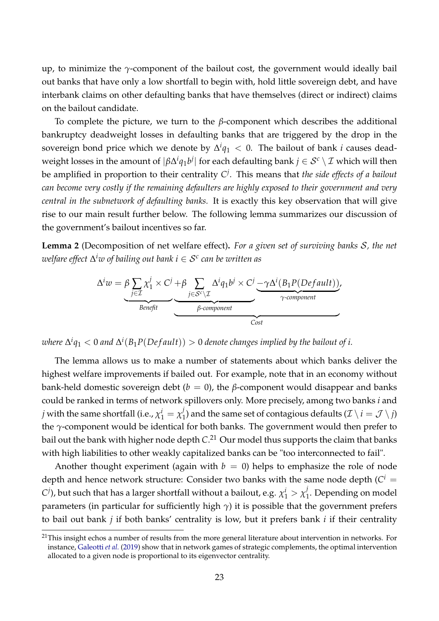up, to minimize the *γ*-component of the bailout cost, the government would ideally bail out banks that have only a low shortfall to begin with, hold little sovereign debt, and have interbank claims on other defaulting banks that have themselves (direct or indirect) claims on the bailout candidate.

To complete the picture, we turn to the *β*-component which describes the additional bankruptcy deadweight losses in defaulting banks that are triggered by the drop in the sovereign bond price which we denote by  $\Delta^i q_1 < 0$ . The bailout of bank *i* causes deadweight losses in the amount of  $|\beta\Delta^iq_1b^j|$  for each defaulting bank  $j\in\mathcal{S}^c\setminus\mathcal{I}$  which will then be amplified in proportion to their centrality *C j* . This means that *the side effects of a bailout can become very costly if the remaining defaulters are highly exposed to their government and very central in the subnetwork of defaulting banks.* It is exactly this key observation that will give rise to our main result further below. The following lemma summarizes our discussion of the government's bailout incentives so far.

<span id="page-24-0"></span>**Lemma 2** (Decomposition of net welfare effect)**.** *For a given set of surviving banks* S*, the net welfare effect* ∆ *<sup>i</sup>w of bailing out bank i* ∈ S*<sup>c</sup> can be written as*

$$
\Delta^i w = \beta \sum_{j \in \mathcal{I}} \chi_1^j \times C^j + \beta \sum_{j \in \mathcal{S}^c \setminus \mathcal{I}} \Delta^i q_1 b^j \times C^j \underbrace{-\gamma \Delta^i (B_1 P (Default))}_{\gamma\text{-component}},
$$

 $\omega$ here  $\Delta^i q_1 < 0$  and  $\Delta^i(B_1P(Default)) > 0$  denote changes implied by the bailout of i.

The lemma allows us to make a number of statements about which banks deliver the highest welfare improvements if bailed out. For example, note that in an economy without bank-held domestic sovereign debt (*), the <i>β*-component would disappear and banks could be ranked in terms of network spillovers only. More precisely, among two banks *i* and *j* with the same shortfall (i.e.,  $\chi_1^i = \chi_1^j$  $\mathcal{I}_1$ ) and the same set of contagious defaults ( $\mathcal{I} \setminus i = \mathcal{J} \setminus j$ ) the *γ*-component would be identical for both banks. The government would then prefer to bail out the bank with higher node depth *C*. <sup>21</sup> Our model thus supports the claim that banks with high liabilities to other weakly capitalized banks can be "too interconnected to fail".

Another thought experiment (again with  $b = 0$ ) helps to emphasize the role of node depth and hence network structure: Consider two banks with the same node depth ( $C^i =$  $C$ <sup>j</sup>), but such that has a larger shortfall without a bailout, e.g.  $\chi_1^i>\chi_1^j$  $\frac{1}{1}$ . Depending on model parameters (in particular for sufficiently high  $\gamma$ ) it is possible that the government prefers to bail out bank *j* if both banks' centrality is low, but it prefers bank *i* if their centrality

<sup>&</sup>lt;sup>21</sup>This insight echos a number of results from the more general literature about intervention in networks. For instance, [Galeotti](#page-34-13) *et al.* [\(2019\)](#page-34-13) show that in network games of strategic complements, the optimal intervention allocated to a given node is proportional to its eigenvector centrality.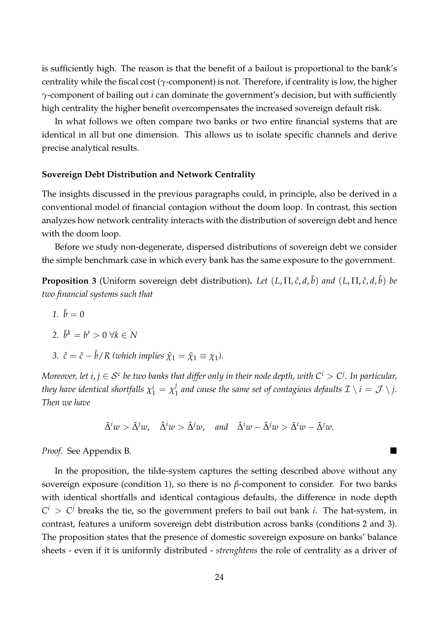is sufficiently high. The reason is that the benefit of a bailout is proportional to the bank's centrality while the fiscal cost (*γ*-component) is not. Therefore, if centrality is low, the higher *γ*-component of bailing out *i* can dominate the government's decision, but with sufficiently high centrality the higher benefit overcompensates the increased sovereign default risk.

In what follows we often compare two banks or two entire financial systems that are identical in all but one dimension. This allows us to isolate specific channels and derive precise analytical results.

#### **Sovereign Debt Distribution and Network Centrality**

The insights discussed in the previous paragraphs could, in principle, also be derived in a conventional model of financial contagion without the doom loop. In contrast, this section analyzes how network centrality interacts with the distribution of sovereign debt and hence with the doom loop.

Before we study non-degenerate, dispersed distributions of sovereign debt we consider the simple benchmark case in which every bank has the same exposure to the government.

<span id="page-25-0"></span>**Proposition 3** (Uniform sovereign debt distribution)**.** *Let* (*L*, Π, *c*˜, *d*, ˜*b*) *and* (*L*, Π, *c*ˆ, *d*, ˆ*b*) *be two financial systems such that*

*1.*  $\tilde{b} = 0$ 

$$
2. \ \hat{b}^k = b' > 0 \ \forall k \in N
$$

*3.*  $\hat{c} = \tilde{c} - \hat{b} / R$  (which implies  $\hat{\chi}_1 = \tilde{\chi}_1 \equiv \chi_1$ ).

 $M$ oreover, let  $i,j\in\mathcal{S}^c$  be two banks that differ only in their node depth, with  $\mathsf{C}^i>\mathsf{C}^j.$  In particular, *they have identical shortfalls*  $\chi_1^i = \chi_1^j$  $\frac{1}{1}$  and cause the same set of contagious defaults  $\mathcal{I} \setminus i = \mathcal{J} \setminus j.$ *Then we have*

$$
\tilde{\Delta}^i w > \tilde{\Delta}^j w, \quad \hat{\Delta}^i w > \hat{\Delta}^j w, \quad \text{and} \quad \hat{\Delta}^i w - \hat{\Delta}^j w > \tilde{\Delta}^i w - \tilde{\Delta}^j w.
$$

*Proof.* See Appendix [B.](#page-38-0)

In the proposition, the tilde-system captures the setting described above without any sovereign exposure (condition 1), so there is no  $β$ -component to consider. For two banks with identical shortfalls and identical contagious defaults, the difference in node depth  $C^i > C^j$  breaks the tie, so the government prefers to bail out bank *i*. The hat-system, in contrast, features a uniform sovereign debt distribution across banks (conditions 2 and 3). The proposition states that the presence of domestic sovereign exposure on banks' balance sheets - even if it is uniformly distributed - *strenghtens* the role of centrality as a driver of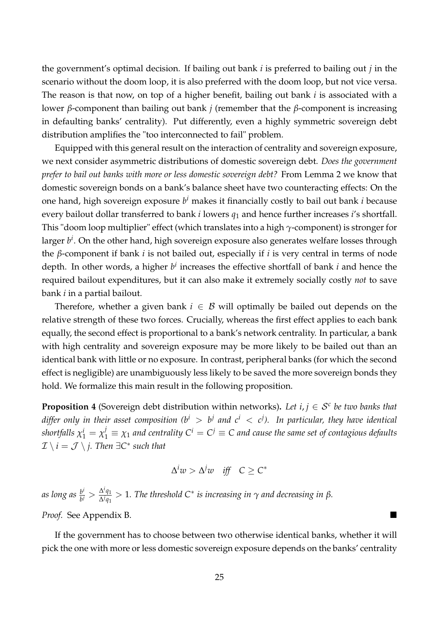the government's optimal decision. If bailing out bank *i* is preferred to bailing out *j* in the scenario without the doom loop, it is also preferred with the doom loop, but not vice versa. The reason is that now, on top of a higher benefit, bailing out bank *i* is associated with a lower *β*-component than bailing out bank *j* (remember that the *β*-component is increasing in defaulting banks' centrality). Put differently, even a highly symmetric sovereign debt distribution amplifies the "too interconnected to fail" problem.

Equipped with this general result on the interaction of centrality and sovereign exposure, we next consider asymmetric distributions of domestic sovereign debt. *Does the government prefer to bail out banks with more or less domestic sovereign debt?* From Lemma [2](#page-24-0) we know that domestic sovereign bonds on a bank's balance sheet have two counteracting effects: On the one hand, high sovereign exposure *b <sup>i</sup>* makes it financially costly to bail out bank *i* because every bailout dollar transferred to bank *i* lowers *q*<sup>1</sup> and hence further increases *i*'s shortfall. This "doom loop multiplier" effect (which translates into a high *γ*-component) is stronger for larger *b i* . On the other hand, high sovereign exposure also generates welfare losses through the *β*-component if bank *i* is not bailed out, especially if *i* is very central in terms of node depth. In other words, a higher  $b^i$  increases the effective shortfall of bank *i* and hence the required bailout expenditures, but it can also make it extremely socially costly *not* to save bank *i* in a partial bailout.

Therefore, whether a given bank  $i \in \mathcal{B}$  will optimally be bailed out depends on the relative strength of these two forces. Crucially, whereas the first effect applies to each bank equally, the second effect is proportional to a bank's network centrality. In particular, a bank with high centrality and sovereign exposure may be more likely to be bailed out than an identical bank with little or no exposure. In contrast, peripheral banks (for which the second effect is negligible) are unambiguously less likely to be saved the more sovereign bonds they hold. We formalize this main result in the following proposition.

<span id="page-26-0"></span>**Proposition 4** (Sovereign debt distribution within networks). Let  $i, j \in S^c$  be two banks that  $d$ iffer only in their asset composition (b $^i$   $>$  b $^j$  and  $c^i$   $<$  c $^j$ ). In particular, they have identical  $s$ hortfalls  $\chi_1^i=\chi_1^j\equiv\chi_1$  and centrality  $C^i=C^j\equiv C$  and cause the same set of contagious defaults  $\mathcal{I} \setminus i = \mathcal{J} \setminus j$ . Then  $\exists C^*$  such that

$$
\Delta^i w > \Delta^j w \quad \text{iff} \quad C \geq C^*
$$

*as long as <sup>b</sup> i*  $\frac{b^i}{b^j} > \frac{\Delta^i q_1}{\Delta^j q_1}$ ∆*jq*<sup>1</sup> > 1*. The threshold C*<sup>∗</sup> *is increasing in γ and decreasing in β. Proof.* See Appendix [B.](#page-38-0)

If the government has to choose between two otherwise identical banks, whether it will pick the one with more or less domestic sovereign exposure depends on the banks' centrality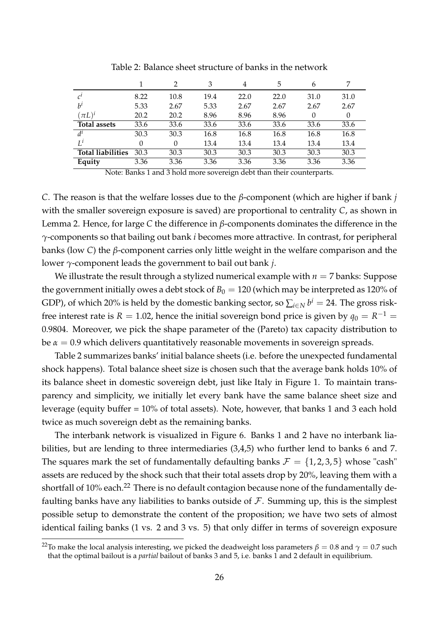<span id="page-27-0"></span>

|                          |      |      | 3    | 4    | 5    | 6    |      |
|--------------------------|------|------|------|------|------|------|------|
| $c^{\iota}$              | 8.22 | 10.8 | 19.4 | 22.0 | 22.0 | 31.0 | 31.0 |
| $h^1$                    | 5.33 | 2.67 | 5.33 | 2.67 | 2.67 | 2.67 | 2.67 |
| $(\pi L)^{i}$            | 20.2 | 20.2 | 8.96 | 8.96 | 8.96 |      | 0    |
| <b>Total assets</b>      | 33.6 | 33.6 | 33.6 | 33.6 | 33.6 | 33.6 | 33.6 |
| $d^i$                    | 30.3 | 30.3 | 16.8 | 16.8 | 16.8 | 16.8 | 16.8 |
| $L^i$                    | 0    | 0    | 13.4 | 13.4 | 13.4 | 13.4 | 13.4 |
| <b>Total liabilities</b> | 30.3 | 30.3 | 30.3 | 30.3 | 30.3 | 30.3 | 30.3 |
| Equity                   | 3.36 | 3.36 | 3.36 | 3.36 | 3.36 | 3.36 | 3.36 |

Table 2: Balance sheet structure of banks in the network

Note: Banks 1 and 3 hold more sovereign debt than their counterparts.

*C*. The reason is that the welfare losses due to the *β*-component (which are higher if bank *j* with the smaller sovereign exposure is saved) are proportional to centrality *C*, as shown in Lemma [2.](#page-24-0) Hence, for large *C* the difference in *β*-components dominates the difference in the *γ*-components so that bailing out bank *i* becomes more attractive. In contrast, for peripheral banks (low *C*) the *β*-component carries only little weight in the welfare comparison and the lower *γ*-component leads the government to bail out bank *j*.

We illustrate the result through a stylized numerical example with  $n = 7$  banks: Suppose the government initially owes a debt stock of  $B_0 = 120$  (which may be interpreted as 120% of GDP), of which 20% is held by the domestic banking sector, so  $\sum_{i\in N}b^i=$  24. The gross riskfree interest rate is  $R = 1.02$ , hence the initial sovereign bond price is given by  $q_0 = R^{-1} =$ 0.9804. Moreover, we pick the shape parameter of the (Pareto) tax capacity distribution to be  $\alpha = 0.9$  which delivers quantitatively reasonable movements in sovereign spreads.

Table [2](#page-27-0) summarizes banks' initial balance sheets (i.e. before the unexpected fundamental shock happens). Total balance sheet size is chosen such that the average bank holds 10% of its balance sheet in domestic sovereign debt, just like Italy in Figure [1.](#page-2-0) To maintain transparency and simplicity, we initially let every bank have the same balance sheet size and leverage (equity buffer = 10% of total assets). Note, however, that banks 1 and 3 each hold twice as much sovereign debt as the remaining banks.

The interbank network is visualized in Figure [6.](#page-28-0) Banks 1 and 2 have no interbank liabilities, but are lending to three intermediaries (3,4,5) who further lend to banks 6 and 7. The squares mark the set of fundamentally defaulting banks  $\mathcal{F} = \{1, 2, 3, 5\}$  whose "cash" assets are reduced by the shock such that their total assets drop by 20%, leaving them with a shortfall of 10% each.<sup>22</sup> There is no default contagion because none of the fundamentally defaulting banks have any liabilities to banks outside of  $F$ . Summing up, this is the simplest possible setup to demonstrate the content of the proposition; we have two sets of almost identical failing banks (1 vs. 2 and 3 vs. 5) that only differ in terms of sovereign exposure

<sup>&</sup>lt;sup>22</sup>To make the local analysis interesting, we picked the deadweight loss parameters  $\beta = 0.8$  and  $\gamma = 0.7$  such that the optimal bailout is a *partial* bailout of banks 3 and 5, i.e. banks 1 and 2 default in equilibrium.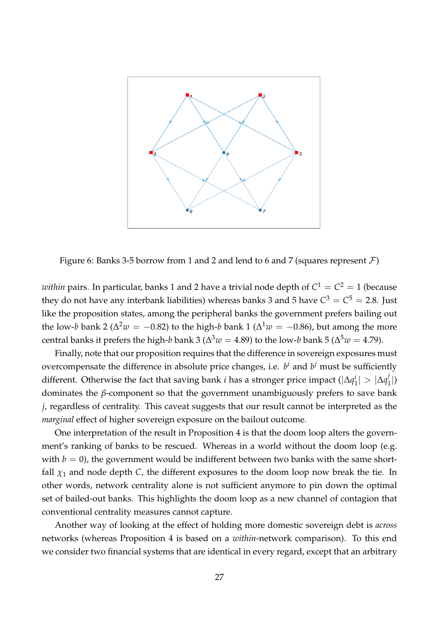<span id="page-28-0"></span>

Figure 6: Banks 3-5 borrow from 1 and 2 and lend to 6 and 7 (squares represent  $\mathcal{F}$ )

 $within$  pairs. In particular, banks 1 and 2 have a trivial node depth of  $C^1=C^2=1$  (because they do not have any interbank liabilities) whereas banks 3 and 5 have  $C^3 = C^5 = 2.8$ . Just like the proposition states, among the peripheral banks the government prefers bailing out the low-*b* bank 2 ( $\Delta^2 w = -0.82$ ) to the high-*b* bank 1 ( $\Delta^1 w = -0.86$ ), but among the more central banks it prefers the high- $b$  bank 3 ( $\Delta^3 w = 4.89$ ) to the low- $b$  bank 5 ( $\Delta^5 w = 4.79$ ).

Finally, note that our proposition requires that the difference in sovereign exposures must overcompensate the difference in absolute price changes, i.e.  $b^i$  and  $b^j$  must be sufficiently different. Otherwise the fact that saving bank *i* has a stronger price impact (|∆*q i*  $\vert \frac{i}{1} \vert > \vert \Delta q \vert^j$  $\binom{J}{1}$ dominates the *β*-component so that the government unambiguously prefers to save bank *j*, regardless of centrality. This caveat suggests that our result cannot be interpreted as the *marginal* effect of higher sovereign exposure on the bailout outcome.

One interpretation of the result in Proposition [4](#page-26-0) is that the doom loop alters the government's ranking of banks to be rescued. Whereas in a world without the doom loop (e.g. with  $b = 0$ ), the government would be indifferent between two banks with the same shortfall  $\chi_1$  and node depth *C*, the different exposures to the doom loop now break the tie. In other words, network centrality alone is not sufficient anymore to pin down the optimal set of bailed-out banks. This highlights the doom loop as a new channel of contagion that conventional centrality measures cannot capture.

Another way of looking at the effect of holding more domestic sovereign debt is *across* networks (whereas Proposition [4](#page-26-0) is based on a *within*-network comparison). To this end we consider two financial systems that are identical in every regard, except that an arbitrary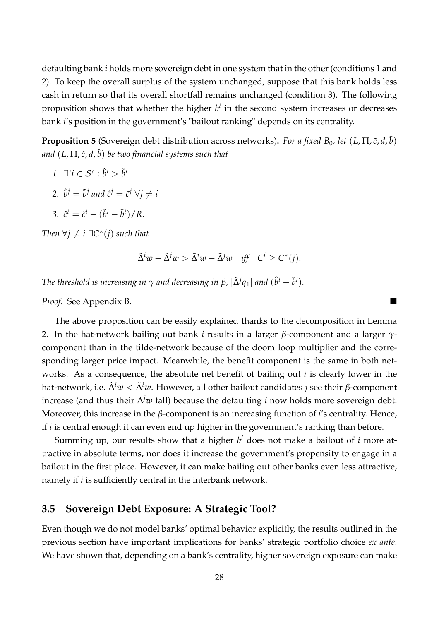defaulting bank *i* holds more sovereign debt in one system that in the other (conditions 1 and 2). To keep the overall surplus of the system unchanged, suppose that this bank holds less cash in return so that its overall shortfall remains unchanged (condition 3). The following proposition shows that whether the higher *b i* in the second system increases or decreases bank *i*'s position in the government's "bailout ranking" depends on its centrality.

<span id="page-29-0"></span>**Proposition 5** (Sovereign debt distribution across networks). *For a fixed B*<sub>0</sub>*, let*  $(L,\Pi,\tilde{c},d,\tilde{b})$ *and* (*L*, Π, *c*ˆ, *d*, ˆ*b*) *be two financial systems such that*

- *1.* ∃! $i \in S^c$ :  $\hat{b}^i > \tilde{b}^i$
- 2.  $\hat{b}^j = \tilde{b}^j$  and  $\hat{c}^j = \tilde{c}^j \,\,\forall j \neq i$
- *3.*  $\hat{c}^i = \tilde{c}^i (\hat{b}^i \tilde{b}^i)/R$ .

*Then*  $\forall j \neq i \exists C^*(j)$  *such that* 

$$
\hat{\Delta}^i w - \hat{\Delta}^j w > \tilde{\Delta}^i w - \tilde{\Delta}^j w \quad \text{iff} \quad C^i \ge C^*(j).
$$

*The threshold is increasing in*  $\gamma$  *and decreasing in β,*  $|\hat{\Delta}^j q_1|$  *and*  $(\hat{b}^i - \tilde{b}^i).$ 

*Proof.* See Appendix [B.](#page-38-0)

The above proposition can be easily explained thanks to the decomposition in Lemma [2.](#page-24-0) In the hat-network bailing out bank *i* results in a larger *β*-component and a larger *γ*component than in the tilde-network because of the doom loop multiplier and the corresponding larger price impact. Meanwhile, the benefit component is the same in both networks. As a consequence, the absolute net benefit of bailing out *i* is clearly lower in the hat-network, i.e.  $\hat{\Delta}^i w < \tilde{\Delta}^i w$ . However, all other bailout candidates *j* see their *β*-component increase (and thus their ∆ *<sup>j</sup>w* fall) because the defaulting *i* now holds more sovereign debt. Moreover, this increase in the *β*-component is an increasing function of *i*'s centrality. Hence, if *i* is central enough it can even end up higher in the government's ranking than before.

Summing up, our results show that a higher *b <sup>i</sup>* does not make a bailout of *i* more attractive in absolute terms, nor does it increase the government's propensity to engage in a bailout in the first place. However, it can make bailing out other banks even less attractive, namely if *i* is sufficiently central in the interbank network.

## **3.5 Sovereign Debt Exposure: A Strategic Tool?**

Even though we do not model banks' optimal behavior explicitly, the results outlined in the previous section have important implications for banks' strategic portfolio choice *ex ante*. We have shown that, depending on a bank's centrality, higher sovereign exposure can make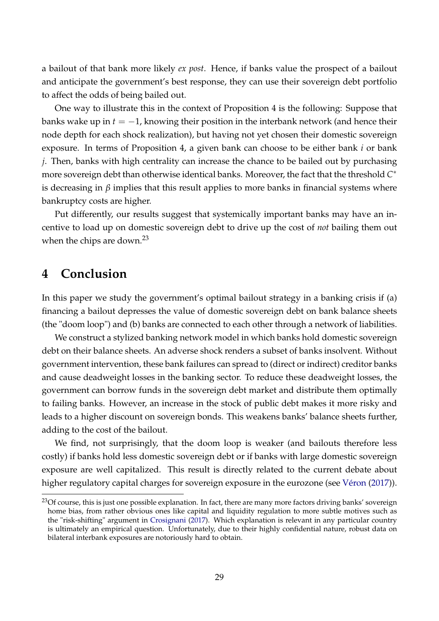a bailout of that bank more likely *ex post*. Hence, if banks value the prospect of a bailout and anticipate the government's best response, they can use their sovereign debt portfolio to affect the odds of being bailed out.

One way to illustrate this in the context of Proposition [4](#page-26-0) is the following: Suppose that banks wake up in  $t = -1$ , knowing their position in the interbank network (and hence their node depth for each shock realization), but having not yet chosen their domestic sovereign exposure. In terms of Proposition [4,](#page-26-0) a given bank can choose to be either bank *i* or bank *j*. Then, banks with high centrality can increase the chance to be bailed out by purchasing more sovereign debt than otherwise identical banks. Moreover, the fact that the threshold *C* ∗ is decreasing in  $\beta$  implies that this result applies to more banks in financial systems where bankruptcy costs are higher.

Put differently, our results suggest that systemically important banks may have an incentive to load up on domestic sovereign debt to drive up the cost of *not* bailing them out when the chips are down.<sup>23</sup>

# **4 Conclusion**

In this paper we study the government's optimal bailout strategy in a banking crisis if (a) financing a bailout depresses the value of domestic sovereign debt on bank balance sheets (the "doom loop") and (b) banks are connected to each other through a network of liabilities.

We construct a stylized banking network model in which banks hold domestic sovereign debt on their balance sheets. An adverse shock renders a subset of banks insolvent. Without government intervention, these bank failures can spread to (direct or indirect) creditor banks and cause deadweight losses in the banking sector. To reduce these deadweight losses, the government can borrow funds in the sovereign debt market and distribute them optimally to failing banks. However, an increase in the stock of public debt makes it more risky and leads to a higher discount on sovereign bonds. This weakens banks' balance sheets further, adding to the cost of the bailout.

We find, not surprisingly, that the doom loop is weaker (and bailouts therefore less costly) if banks hold less domestic sovereign debt or if banks with large domestic sovereign exposure are well capitalized. This result is directly related to the current debate about higher regulatory capital charges for sovereign exposure in the eurozone (see [Véron](#page-35-5) [\(2017\)](#page-35-5)).

<sup>&</sup>lt;sup>23</sup>Of course, this is just one possible explanation. In fact, there are many more factors driving banks' sovereign home bias, from rather obvious ones like capital and liquidity regulation to more subtle motives such as the "risk-shifting" argument in [Crosignani](#page-34-9) [\(2017\)](#page-34-9). Which explanation is relevant in any particular country is ultimately an empirical question. Unfortunately, due to their highly confidential nature, robust data on bilateral interbank exposures are notoriously hard to obtain.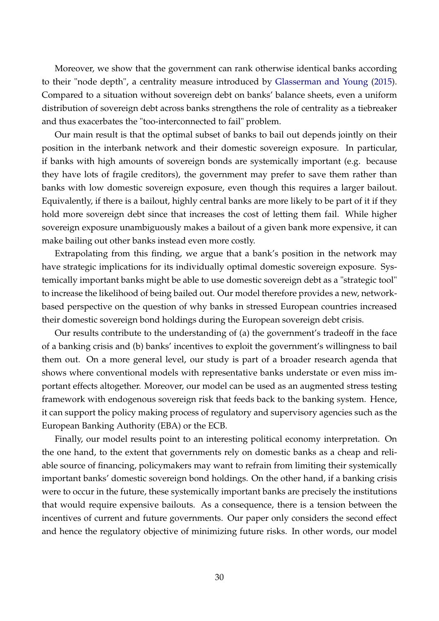Moreover, we show that the government can rank otherwise identical banks according to their "node depth", a centrality measure introduced by [Glasserman and Young](#page-34-5) [\(2015\)](#page-34-5). Compared to a situation without sovereign debt on banks' balance sheets, even a uniform distribution of sovereign debt across banks strengthens the role of centrality as a tiebreaker and thus exacerbates the "too-interconnected to fail" problem.

Our main result is that the optimal subset of banks to bail out depends jointly on their position in the interbank network and their domestic sovereign exposure. In particular, if banks with high amounts of sovereign bonds are systemically important (e.g. because they have lots of fragile creditors), the government may prefer to save them rather than banks with low domestic sovereign exposure, even though this requires a larger bailout. Equivalently, if there is a bailout, highly central banks are more likely to be part of it if they hold more sovereign debt since that increases the cost of letting them fail. While higher sovereign exposure unambiguously makes a bailout of a given bank more expensive, it can make bailing out other banks instead even more costly.

Extrapolating from this finding, we argue that a bank's position in the network may have strategic implications for its individually optimal domestic sovereign exposure. Systemically important banks might be able to use domestic sovereign debt as a "strategic tool" to increase the likelihood of being bailed out. Our model therefore provides a new, networkbased perspective on the question of why banks in stressed European countries increased their domestic sovereign bond holdings during the European sovereign debt crisis.

Our results contribute to the understanding of (a) the government's tradeoff in the face of a banking crisis and (b) banks' incentives to exploit the government's willingness to bail them out. On a more general level, our study is part of a broader research agenda that shows where conventional models with representative banks understate or even miss important effects altogether. Moreover, our model can be used as an augmented stress testing framework with endogenous sovereign risk that feeds back to the banking system. Hence, it can support the policy making process of regulatory and supervisory agencies such as the European Banking Authority (EBA) or the ECB.

Finally, our model results point to an interesting political economy interpretation. On the one hand, to the extent that governments rely on domestic banks as a cheap and reliable source of financing, policymakers may want to refrain from limiting their systemically important banks' domestic sovereign bond holdings. On the other hand, if a banking crisis were to occur in the future, these systemically important banks are precisely the institutions that would require expensive bailouts. As a consequence, there is a tension between the incentives of current and future governments. Our paper only considers the second effect and hence the regulatory objective of minimizing future risks. In other words, our model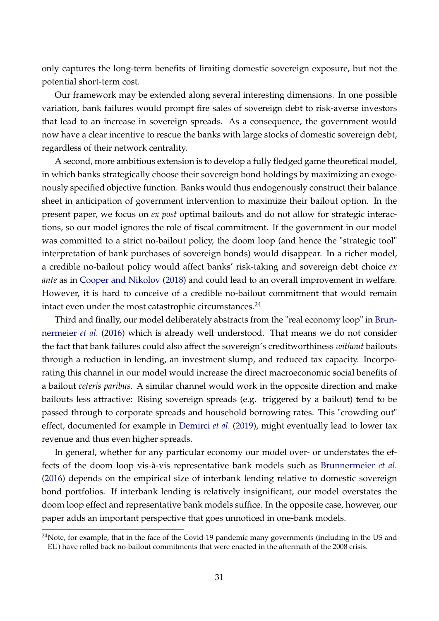only captures the long-term benefits of limiting domestic sovereign exposure, but not the potential short-term cost.

Our framework may be extended along several interesting dimensions. In one possible variation, bank failures would prompt fire sales of sovereign debt to risk-averse investors that lead to an increase in sovereign spreads. As a consequence, the government would now have a clear incentive to rescue the banks with large stocks of domestic sovereign debt, regardless of their network centrality.

A second, more ambitious extension is to develop a fully fledged game theoretical model, in which banks strategically choose their sovereign bond holdings by maximizing an exogenously specified objective function. Banks would thus endogenously construct their balance sheet in anticipation of government intervention to maximize their bailout option. In the present paper, we focus on *ex post* optimal bailouts and do not allow for strategic interactions, so our model ignores the role of fiscal commitment. If the government in our model was committed to a strict no-bailout policy, the doom loop (and hence the "strategic tool" interpretation of bank purchases of sovereign bonds) would disappear. In a richer model, a credible no-bailout policy would affect banks' risk-taking and sovereign debt choice *ex ante* as in [Cooper and Nikolov](#page-34-0) [\(2018\)](#page-34-0) and could lead to an overall improvement in welfare. However, it is hard to conceive of a credible no-bailout commitment that would remain intact even under the most catastrophic circumstances. $^{24}$ 

Third and finally, our model deliberately abstracts from the "real economy loop" in [Brun](#page-33-3)[nermeier](#page-33-3) *et al.* [\(2016\)](#page-33-3) which is already well understood. That means we do not consider the fact that bank failures could also affect the sovereign's creditworthiness *without* bailouts through a reduction in lending, an investment slump, and reduced tax capacity. Incorporating this channel in our model would increase the direct macroeconomic social benefits of a bailout *ceteris paribus*. A similar channel would work in the opposite direction and make bailouts less attractive: Rising sovereign spreads (e.g. triggered by a bailout) tend to be passed through to corporate spreads and household borrowing rates. This "crowding out" effect, documented for example in [Demirci](#page-34-14) *et al.* [\(2019\)](#page-34-14), might eventually lead to lower tax revenue and thus even higher spreads.

In general, whether for any particular economy our model over- or understates the effects of the doom loop vis-à-vis representative bank models such as [Brunnermeier](#page-33-3) *et al.* [\(2016\)](#page-33-3) depends on the empirical size of interbank lending relative to domestic sovereign bond portfolios. If interbank lending is relatively insignificant, our model overstates the doom loop effect and representative bank models suffice. In the opposite case, however, our paper adds an important perspective that goes unnoticed in one-bank models.

<sup>&</sup>lt;sup>24</sup>Note, for example, that in the face of the Covid-19 pandemic many governments (including in the US and EU) have rolled back no-bailout commitments that were enacted in the aftermath of the 2008 crisis.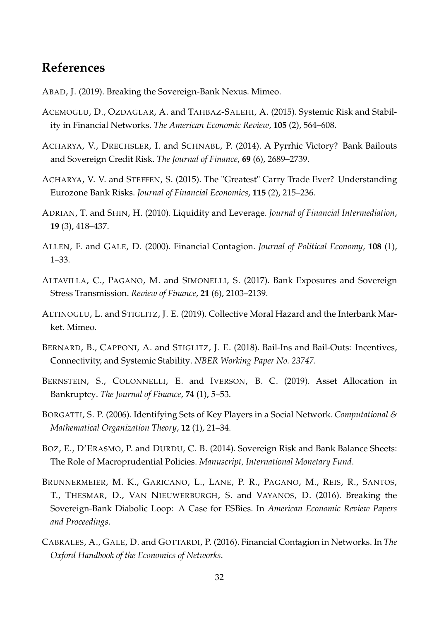# **References**

<span id="page-33-9"></span>ABAD, J. (2019). Breaking the Sovereign-Bank Nexus. Mimeo.

- <span id="page-33-1"></span>ACEMOGLU, D., OZDAGLAR, A. and TAHBAZ-SALEHI, A. (2015). Systemic Risk and Stability in Financial Networks. *The American Economic Review*, **105** (2), 564–608.
- <span id="page-33-0"></span>ACHARYA, V., DRECHSLER, I. and SCHNABL, P. (2014). A Pyrrhic Victory? Bank Bailouts and Sovereign Credit Risk. *The Journal of Finance*, **69** (6), 2689–2739.
- <span id="page-33-12"></span>ACHARYA, V. V. and STEFFEN, S. (2015). The "Greatest" Carry Trade Ever? Understanding Eurozone Bank Risks. *Journal of Financial Economics*, **115** (2), 215–236.
- <span id="page-33-2"></span>ADRIAN, T. and SHIN, H. (2010). Liquidity and Leverage. *Journal of Financial Intermediation*, **19** (3), 418–437.
- <span id="page-33-4"></span>ALLEN, F. and GALE, D. (2000). Financial Contagion. *Journal of Political Economy*, **108** (1), 1–33.
- <span id="page-33-8"></span>ALTAVILLA, C., PAGANO, M. and SIMONELLI, S. (2017). Bank Exposures and Sovereign Stress Transmission. *Review of Finance*, **21** (6), 2103–2139.
- <span id="page-33-7"></span>ALTINOGLU, L. and STIGLITZ, J. E. (2019). Collective Moral Hazard and the Interbank Market. Mimeo.
- <span id="page-33-6"></span>BERNARD, B., CAPPONI, A. and STIGLITZ, J. E. (2018). Bail-Ins and Bail-Outs: Incentives, Connectivity, and Systemic Stability. *NBER Working Paper No. 23747*.
- <span id="page-33-11"></span>BERNSTEIN, S., COLONNELLI, E. and IVERSON, B. C. (2019). Asset Allocation in Bankruptcy. *The Journal of Finance*, **74** (1), 5–53.
- <span id="page-33-13"></span>BORGATTI, S. P. (2006). Identifying Sets of Key Players in a Social Network. *Computational & Mathematical Organization Theory*, **12** (1), 21–34.
- <span id="page-33-10"></span>BOZ, E., D'ERASMO, P. and DURDU, C. B. (2014). Sovereign Risk and Bank Balance Sheets: The Role of Macroprudential Policies. *Manuscript, International Monetary Fund*.
- <span id="page-33-3"></span>BRUNNERMEIER, M. K., GARICANO, L., LANE, P. R., PAGANO, M., REIS, R., SANTOS, T., THESMAR, D., VAN NIEUWERBURGH, S. and VAYANOS, D. (2016). Breaking the Sovereign-Bank Diabolic Loop: A Case for ESBies. In *American Economic Review Papers and Proceedings*.
- <span id="page-33-5"></span>CABRALES, A., GALE, D. and GOTTARDI, P. (2016). Financial Contagion in Networks. In *The Oxford Handbook of the Economics of Networks*.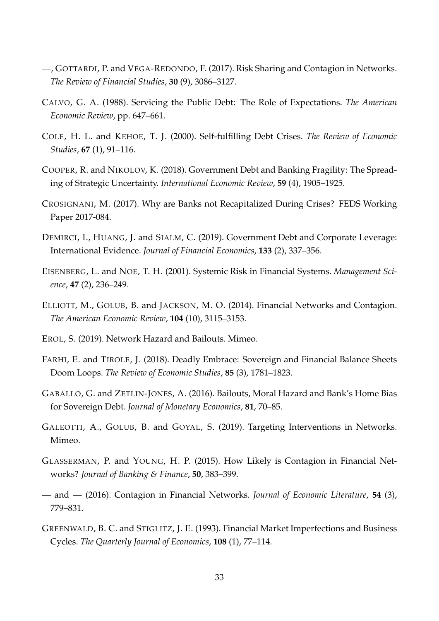- <span id="page-34-3"></span>—, GOTTARDI, P. and VEGA-REDONDO, F. (2017). Risk Sharing and Contagion in Networks. *The Review of Financial Studies*, **30** (9), 3086–3127.
- <span id="page-34-10"></span>CALVO, G. A. (1988). Servicing the Public Debt: The Role of Expectations. *The American Economic Review*, pp. 647–661.
- <span id="page-34-11"></span>COLE, H. L. and KEHOE, T. J. (2000). Self-fulfilling Debt Crises. *The Review of Economic Studies*, **67** (1), 91–116.
- <span id="page-34-0"></span>COOPER, R. and NIKOLOV, K. (2018). Government Debt and Banking Fragility: The Spreading of Strategic Uncertainty. *International Economic Review*, **59** (4), 1905–1925.
- <span id="page-34-9"></span>CROSIGNANI, M. (2017). Why are Banks not Recapitalized During Crises? FEDS Working Paper 2017-084.
- <span id="page-34-14"></span>DEMIRCI, I., HUANG, J. and SIALM, C. (2019). Government Debt and Corporate Leverage: International Evidence. *Journal of Financial Economics*, **133** (2), 337–356.
- <span id="page-34-6"></span>EISENBERG, L. and NOE, T. H. (2001). Systemic Risk in Financial Systems. *Management Science*, **47** (2), 236–249.
- <span id="page-34-2"></span>ELLIOTT, M., GOLUB, B. and JACKSON, M. O. (2014). Financial Networks and Contagion. *The American Economic Review*, **104** (10), 3115–3153.
- <span id="page-34-7"></span>EROL, S. (2019). Network Hazard and Bailouts. Mimeo.
- <span id="page-34-1"></span>FARHI, E. and TIROLE, J. (2018). Deadly Embrace: Sovereign and Financial Balance Sheets Doom Loops. *The Review of Economic Studies*, **85** (3), 1781–1823.
- <span id="page-34-8"></span>GABALLO, G. and ZETLIN-JONES, A. (2016). Bailouts, Moral Hazard and Bank's Home Bias for Sovereign Debt. *Journal of Monetary Economics*, **81**, 70–85.
- <span id="page-34-13"></span>GALEOTTI, A., GOLUB, B. and GOYAL, S. (2019). Targeting Interventions in Networks. Mimeo.
- <span id="page-34-5"></span>GLASSERMAN, P. and YOUNG, H. P. (2015). How Likely is Contagion in Financial Networks? *Journal of Banking & Finance*, **50**, 383–399.
- <span id="page-34-4"></span>— and — (2016). Contagion in Financial Networks. *Journal of Economic Literature*, **54** (3), 779–831.
- <span id="page-34-12"></span>GREENWALD, B. C. and STIGLITZ, J. E. (1993). Financial Market Imperfections and Business Cycles. *The Quarterly Journal of Economics*, **108** (1), 77–114.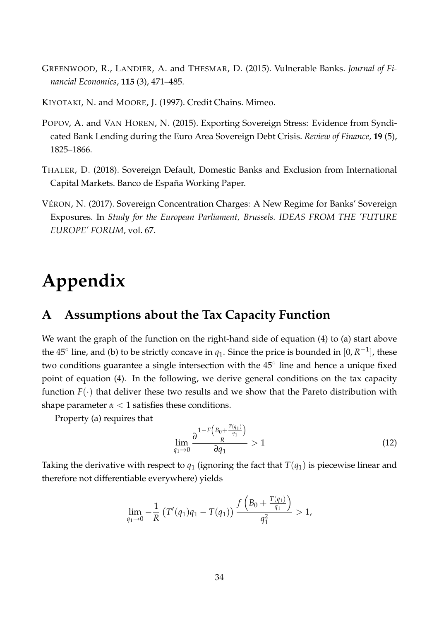- <span id="page-35-0"></span>GREENWOOD, R., LANDIER, A. and THESMAR, D. (2015). Vulnerable Banks. *Journal of Financial Economics*, **115** (3), 471–485.
- <span id="page-35-1"></span>KIYOTAKI, N. and MOORE, J. (1997). Credit Chains. Mimeo.
- <span id="page-35-2"></span>POPOV, A. and VAN HOREN, N. (2015). Exporting Sovereign Stress: Evidence from Syndicated Bank Lending during the Euro Area Sovereign Debt Crisis. *Review of Finance*, **19** (5), 1825–1866.
- <span id="page-35-3"></span>THALER, D. (2018). Sovereign Default, Domestic Banks and Exclusion from International Capital Markets. Banco de España Working Paper.
- <span id="page-35-5"></span>VÉRON, N. (2017). Sovereign Concentration Charges: A New Regime for Banks' Sovereign Exposures. In *Study for the European Parliament, Brussels. IDEAS FROM THE 'FUTURE EUROPE' FORUM*, vol. 67.

# **Appendix**

# <span id="page-35-4"></span>**A Assumptions about the Tax Capacity Function**

We want the graph of the function on the right-hand side of equation [\(4\)](#page-11-0) to (a) start above the  $45^{\circ}$  line, and (b) to be strictly concave in  $q_1$ . Since the price is bounded in  $[0, R^{-1}]$ , these two conditions guarantee a single intersection with the 45° line and hence a unique fixed point of equation [\(4\)](#page-11-0). In the following, we derive general conditions on the tax capacity function  $F(\cdot)$  that deliver these two results and we show that the Pareto distribution with shape parameter  $\alpha < 1$  satisfies these conditions.

Property (a) requires that

<span id="page-35-7"></span><span id="page-35-6"></span>
$$
\lim_{q_1 \to 0} \frac{\partial \frac{1 - F\left(B_0 + \frac{T(q_1)}{q_1}\right)}{\partial q_1} > 1 \tag{12}
$$

Taking the derivative with respect to  $q_1$  (ignoring the fact that  $T(q_1)$  is piecewise linear and therefore not differentiable everywhere) yields

$$
\lim_{q_1 \to 0} -\frac{1}{R} \left( T'(q_1)q_1 - T(q_1) \right) \frac{f\left( B_0 + \frac{T(q_1)}{q_1} \right)}{q_1^2} > 1,
$$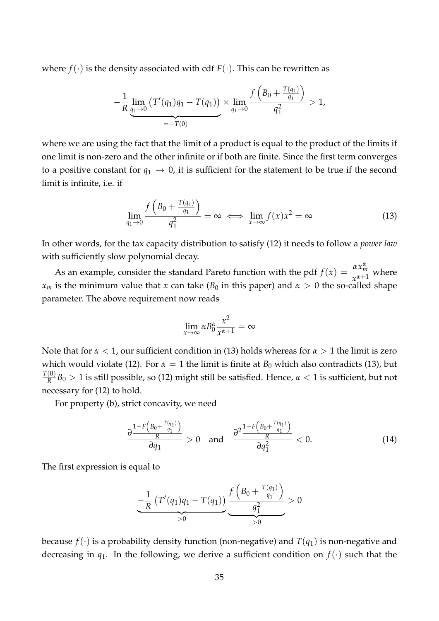where  $f(\cdot)$  is the density associated with cdf  $F(\cdot)$ . This can be rewritten as

$$
-\frac{1}{R}\underbrace{\lim_{q_1\to 0} (T'(q_1)q_1 - T(q_1))}_{=-T(0)} \times \underbrace{\lim_{q_1\to 0} \frac{f\left(B_0 + \frac{T(q_1)}{q_1}\right)}{q_1^2}}_{= -T(0)} > 1,
$$

where we are using the fact that the limit of a product is equal to the product of the limits if one limit is non-zero and the other infinite or if both are finite. Since the first term converges to a positive constant for  $q_1 \rightarrow 0$ , it is sufficient for the statement to be true if the second limit is infinite, i.e. if

$$
\lim_{q_1 \to 0} \frac{f\left(B_0 + \frac{T(q_1)}{q_1}\right)}{q_1^2} = \infty \iff \lim_{x \to \infty} f(x)x^2 = \infty \tag{13}
$$

In other words, for the tax capacity distribution to satisfy [\(12\)](#page-35-6) it needs to follow a *power law* with sufficiently slow polynomial decay.

As an example, consider the standard Pareto function with the pdf  $f(x) = \frac{\alpha x_m^{\alpha}}{x^{\alpha+1}}$  $\frac{m_m}{x_{n+1}^{\alpha+1}}$  where *x<sub>m</sub>* is the minimum value that *x* can take (*B*<sub>0</sub> in this paper) and  $\alpha > 0$  the so-called shape parameter. The above requirement now reads

<span id="page-36-0"></span>
$$
\lim_{x \to \infty} \alpha B_0^{\alpha} \frac{x^2}{x^{\alpha+1}} = \infty
$$

Note that for *α* < 1, our sufficient condition in [\(13\)](#page-35-7) holds whereas for *α* > 1 the limit is zero which would violate [\(12\)](#page-35-6). For  $\alpha = 1$  the limit is finite at  $B_0$  which also contradicts [\(13\)](#page-35-7), but *T*(0)  $\frac{100}{R}$ *B*<sub>0</sub> > 1 is still possible, so [\(12\)](#page-35-6) might still be satisfied. Hence,  $\alpha$  < 1 is sufficient, but not necessary for [\(12\)](#page-35-6) to hold.

For property (b), strict concavity, we need

$$
\frac{\partial \frac{1-F\left(B_0+\frac{T(q_1)}{q_1}\right)}{R}}{\partial q_1} > 0 \quad \text{and} \quad \frac{\partial^2 \frac{1-F\left(B_0+\frac{T(q_1)}{q_1}\right)}{R}}{\partial q_1^2} < 0. \tag{14}
$$

The first expression is equal to

$$
\underbrace{-\frac{1}{R} \left( T'(q_1)q_1 - T(q_1) \right)}_{>0} \underbrace{\frac{f \left( B_0 + \frac{T(q_1)}{q_1} \right)}{q_1^2}}_{>0} > 0
$$

because  $f(\cdot)$  is a probability density function (non-negative) and  $T(q_1)$  is non-negative and decreasing in  $q_1$ . In the following, we derive a sufficient condition on  $f(\cdot)$  such that the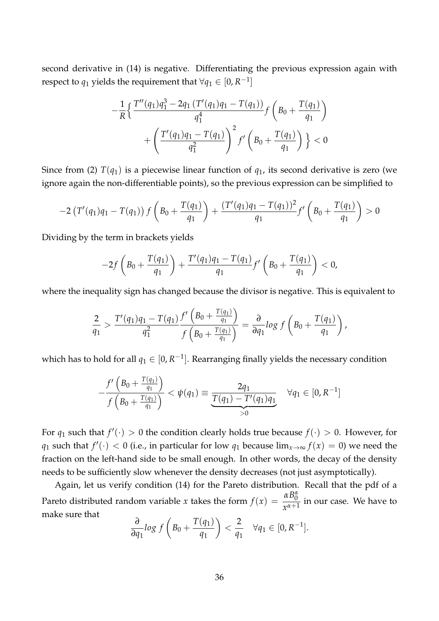second derivative in [\(14\)](#page-36-0) is negative. Differentiating the previous expression again with respect to  $q_1$  yields the requirement that  $\forall q_1 \in [0,R^{-1}]$ 

$$
-\frac{1}{R}\left\{\frac{T''(q_1)q_1^3 - 2q_1(T'(q_1)q_1 - T(q_1))}{q_1^4} f\left(B_0 + \frac{T(q_1)}{q_1}\right) + \left(\frac{T'(q_1)q_1 - T(q_1)}{q_1^2}\right)^2 f'\left(B_0 + \frac{T(q_1)}{q_1}\right)\right\} < 0
$$

Since from [\(2\)](#page-10-0)  $T(q_1)$  is a piecewise linear function of  $q_1$ , its second derivative is zero (we ignore again the non-differentiable points), so the previous expression can be simplified to

$$
-2\left(T'(q_1)q_1-T(q_1)\right)f\left(B_0+\frac{T(q_1)}{q_1}\right)+\frac{(T'(q_1)q_1-T(q_1))^2}{q_1}f'\left(B_0+\frac{T(q_1)}{q_1}\right)>0
$$

Dividing by the term in brackets yields

$$
-2f\left(B_0+\frac{T(q_1)}{q_1}\right)+\frac{T'(q_1)q_1-T(q_1)}{q_1}f'\left(B_0+\frac{T(q_1)}{q_1}\right)<0,
$$

where the inequality sign has changed because the divisor is negative. This is equivalent to

$$
\frac{2}{q_1} > \frac{T'(q_1)q_1 - T(q_1)}{q_1^2} \frac{f'\left(B_0 + \frac{T(q_1)}{q_1}\right)}{f\left(B_0 + \frac{T(q_1)}{q_1}\right)} = \frac{\partial}{\partial q_1} \log f\left(B_0 + \frac{T(q_1)}{q_1}\right),
$$

which has to hold for all  $q_1\in[0,R^{-1}].$  Rearranging finally yields the necessary condition

$$
-\frac{f'(B_0 + \frac{T(q_1)}{q_1})}{f(B_0 + \frac{T(q_1)}{q_1})} < \psi(q_1) \equiv \underbrace{\frac{2q_1}{T(q_1) - T'(q_1)q_1}}_{>0} \quad \forall q_1 \in [0, R^{-1}]
$$

For  $q_1$  such that  $f'(\cdot) > 0$  the condition clearly holds true because  $f(\cdot) > 0$ . However, for *q*<sub>1</sub> such that  $f'(\cdot) < 0$  (i.e., in particular for low *q*<sub>1</sub> because lim<sub>*x*→∞</sub>  $f(x) = 0$ ) we need the fraction on the left-hand side to be small enough. In other words, the decay of the density needs to be sufficiently slow whenever the density decreases (not just asymptotically).

Again, let us verify condition [\(14\)](#page-36-0) for the Pareto distribution. Recall that the pdf of a Pareto distributed random variable *x* takes the form  $f(x) = \frac{\alpha B_0^{\alpha}}{x^{\alpha+1}}$  $\frac{0}{x^{\alpha+1}}$  in our case. We have to make sure that

$$
\frac{\partial}{\partial q_1} \log f\left(B_0 + \frac{T(q_1)}{q_1}\right) < \frac{2}{q_1} \quad \forall q_1 \in [0, R^{-1}].
$$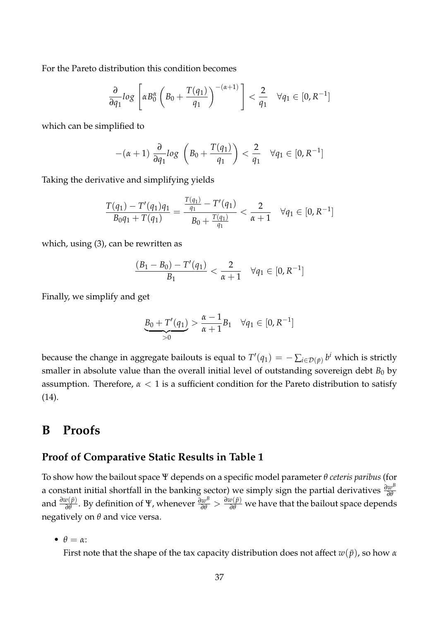For the Pareto distribution this condition becomes

$$
\frac{\partial}{\partial q_1} \log \left[ \alpha B_0^{\alpha} \left( B_0 + \frac{T(q_1)}{q_1} \right)^{-(\alpha+1)} \right] < \frac{2}{q_1} \quad \forall q_1 \in [0, R^{-1}]
$$

which can be simplified to

$$
-(\alpha+1)\frac{\partial}{\partial q_1}log\left(B_0+\frac{T(q_1)}{q_1}\right)<\frac{2}{q_1}\quad\forall q_1\in[0,R^{-1}]
$$

Taking the derivative and simplifying yields

$$
\frac{T(q_1) - T'(q_1)q_1}{B_0 q_1 + T(q_1)} = \frac{\frac{T(q_1)}{q_1} - T'(q_1)}{B_0 + \frac{T(q_1)}{q_1}} < \frac{2}{\alpha + 1} \quad \forall q_1 \in [0, R^{-1}]
$$

which, using [\(3\)](#page-10-1), can be rewritten as

$$
\frac{(B_1 - B_0) - T'(q_1)}{B_1} < \frac{2}{\alpha + 1} \quad \forall q_1 \in [0, R^{-1}]
$$

Finally, we simplify and get

$$
\underbrace{B_0 + T'(q_1)}_{>0} > \frac{\alpha - 1}{\alpha + 1} B_1 \quad \forall q_1 \in [0, R^{-1}]
$$

because the change in aggregate bailouts is equal to  $T'(q_1) = -\sum_{i\in\mathcal{D}(\bar{p})} b^i$  which is strictly smaller in absolute value than the overall initial level of outstanding sovereign debt  $B_0$  by assumption. Therefore,  $\alpha < 1$  is a sufficient condition for the Pareto distribution to satisfy [\(14\)](#page-36-0).

# <span id="page-38-0"></span>**B Proofs**

## <span id="page-38-1"></span>**Proof of Comparative Static Results in Table [1](#page-15-0)**

To show how the bailout space Ψ depends on a specific model parameter *θ ceteris paribus* (for a constant initial shortfall in the banking sector) we simply sign the partial derivatives *<sup>∂</sup><sup>w</sup> B ∂θ* and  $\frac{\partial w(\bar{p})}{\partial \theta}$ . By definition of Ψ, whenever  $\frac{\partial w^B}{\partial \theta} > \frac{\partial w(\bar{p})}{\partial \theta}$  we have that the bailout space depends negatively on *θ* and vice versa.

•  $\theta = \alpha$ :

First note that the shape of the tax capacity distribution does not affect  $w(\bar{p})$ , so how  $\alpha$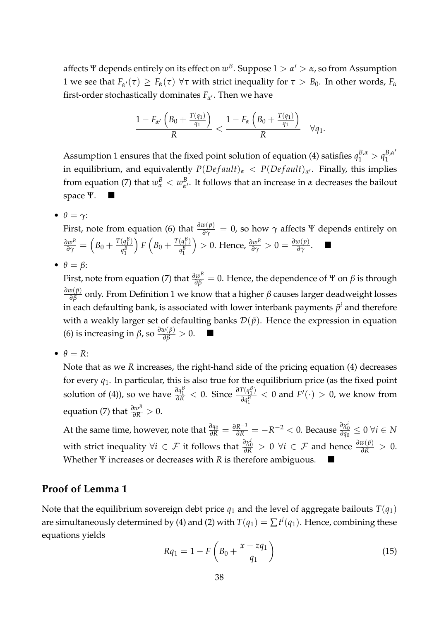affects  $\Psi$  depends entirely on its effect on  $w^B.$  Suppose  $1 > \alpha' > \alpha$ , so from Assumption [1](#page-11-1) we see that  $F_{\alpha'}(\tau) \geq F_{\alpha}(\tau) \,\,\forall \tau$  with strict inequality for  $\tau > B_0$ . In other words,  $F_{\alpha}$ first-order stochastically dominates  $F_{\alpha'}$ . Then we have

<span id="page-39-0"></span>
$$
\frac{1-F_{\alpha'}\left(B_0+\frac{T(q_1)}{q_1}\right)}{R}<\frac{1-F_{\alpha}\left(B_0+\frac{T(q_1)}{q_1}\right)}{R}\quad \forall q_1.
$$

Assumption [1](#page-11-1) ensures that the fixed point solution of equation [\(4\)](#page-11-0) satisfies  $q_1^{B,\alpha} > q_1^{B,\alpha'}$ 1 in equilibrium, and equivalently *P*(*De f ault*)*<sup>α</sup>* < *P*(*De f ault*)*<sup>α</sup>* <sup>0</sup> . Finally, this implies from equation [\(7\)](#page-14-0) that  $w^B_\alpha < w^B_\alpha$ *α* 0 . It follows that an increase in *α* decreases the bailout space Ψ.

•  $\theta = \gamma$ :

First, note from equation [\(6\)](#page-13-1) that  $\frac{\partial w(\bar{p})}{\partial \gamma} = 0$ , so how  $\gamma$  affects Ψ depends entirely on  $\frac{\partial w^B}{\partial \gamma} = \left(B_0 + \frac{T(q_1^B)}{q_1^B}\right)$  $q_1^B$  $\int F\left(B_0 + \frac{T(q_1^B)}{q^B}\right)$  $q_1^B$  $\left( \frac{\partial w}{\partial \gamma} \right) > 0$ . Hence,  $\frac{\partial w}{\partial \gamma}$  > 0 =  $\frac{\partial w(p)}{\partial \gamma}$ . ■

•  $\theta = \beta$ :

First, note from equation [\(7\)](#page-14-0) that  $\frac{\partial w^B}{\partial \beta}=0.$  Hence, the dependence of  $\Psi$  on  $\beta$  is through  $\frac{\partial w(\bar{p})}{\partial \beta}$  only. From Definition [1](#page-9-0) we know that a higher *β* causes larger deadweight losses in each defaulting bank, is associated with lower interbank payments  $\bar{p}^i$  and therefore with a weakly larger set of defaulting banks  $\mathcal{D}(\bar{p})$ . Hence the expression in equation [\(6\)](#page-13-1) is increasing in *β*, so  $\frac{\partial w(\bar{p})}{\partial \beta} > 0$ . ■

•  $\theta = R$ :

Note that as we *R* increases, the right-hand side of the pricing equation [\(4\)](#page-11-0) decreases for every *q*1. In particular, this is also true for the equilibrium price (as the fixed point solution of [\(4\)](#page-11-0)), so we have  $\frac{\partial q_1^B}{\partial R} < 0$ . Since  $\frac{\partial T(q_1^B)}{\partial q_1^B}$  $\frac{I(q_1^{\nu})}{\partial q_1^{\beta}}$  < 0 and *F*'(·) > 0, we know from  $\text{equation (7) that } \frac{\partial w^B}{\partial R} > 0.$  $\text{equation (7) that } \frac{\partial w^B}{\partial R} > 0.$  $\text{equation (7) that } \frac{\partial w^B}{\partial R} > 0.$ 

At the same time, however, note that  $\frac{\partial q_0}{\partial R} = \frac{\partial R^{-1}}{\partial R} = -R^{-2} < 0$ . Because  $\frac{\partial \chi_0^i}{\partial q_0} \leq 0$   $\forall i \in N$ with strict inequality  $\forall i \in \mathcal{F}$  it follows that  $\frac{\partial \chi_0^i}{\partial R} > 0$   $\forall i \in \mathcal{F}$  and hence  $\frac{\partial w(\bar{p})}{\partial R} > 0$ . Whether Ψ increases or decreases with *R* is therefore ambiguous.

## **Proof of Lemma [1](#page-12-0)**

Note that the equilibrium sovereign debt price  $q_1$  and the level of aggregate bailouts  $T(q_1)$ are simultaneously determined by [\(4\)](#page-11-0) and [\(2\)](#page-10-0) with  $T(q_1) = \sum t^i(q_1).$  Hence, combining these equations yields

$$
Rq_1 = 1 - F\left(B_0 + \frac{x - zq_1}{q_1}\right) \tag{15}
$$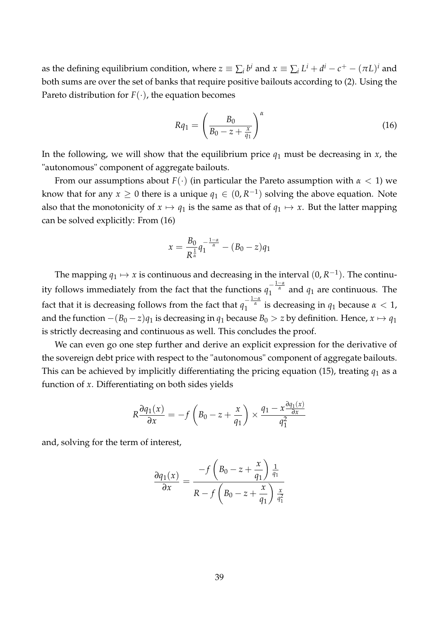as the defining equilibrium condition, where  $z\equiv\sum_ib^i$  and  $x\equiv\sum_iL^i+d^i-c^+-(\pi L)^i$  and both sums are over the set of banks that require positive bailouts according to [\(2\)](#page-10-0). Using the Pareto distribution for  $F(\cdot)$ , the equation becomes

<span id="page-40-0"></span>
$$
Rq_1 = \left(\frac{B_0}{B_0 - z + \frac{x}{q_1}}\right)^{\alpha} \tag{16}
$$

In the following, we will show that the equilibrium price  $q_1$  must be decreasing in  $x$ , the "autonomous" component of aggregate bailouts.

From our assumptions about *F*(·) (in particular the Pareto assumption with *α* < 1) we know that for any  $x \geq 0$  there is a unique  $q_1 \in (0, R^{-1})$  solving the above equation. Note also that the monotonicity of  $x \mapsto q_1$  is the same as that of  $q_1 \mapsto x$ . But the latter mapping can be solved explicitly: From [\(16\)](#page-40-0)

<span id="page-40-1"></span>
$$
x = \frac{B_0}{R^{\frac{1}{\alpha}}} q_1^{-\frac{1-\alpha}{\alpha}} - (B_0 - z) q_1
$$

The mapping  $q_1 \mapsto x$  is continuous and decreasing in the interval  $(0, R^{-1})$ . The continuity follows immediately from the fact that the functions  $q_1^{-\frac{1-\alpha}{\alpha}}$  and  $q_1$  are continuous. The fact that it is decreasing follows from the fact that  $q_1^{-\frac{1-\alpha}{\alpha}}$  is decreasing in  $q_1$  because  $\alpha < 1$ , and the function  $-(B_0 - z)q_1$  is decreasing in  $q_1$  because  $B_0 > z$  by definition. Hence,  $x \mapsto q_1$ is strictly decreasing and continuous as well. This concludes the proof.

We can even go one step further and derive an explicit expression for the derivative of the sovereign debt price with respect to the "autonomous" component of aggregate bailouts. This can be achieved by implicitly differentiating the pricing equation [\(15\)](#page-39-0), treating  $q_1$  as a function of *x*. Differentiating on both sides yields

$$
R\frac{\partial q_1(x)}{\partial x} = -f\left(B_0 - z + \frac{x}{q_1}\right) \times \frac{q_1 - x\frac{\partial q_1(x)}{\partial x}}{q_1^2}
$$

and, solving for the term of interest,

$$
\frac{\partial q_1(x)}{\partial x} = \frac{-f\left(B_0 - z + \frac{x}{q_1}\right)\frac{1}{q_1}}{R - f\left(B_0 - z + \frac{x}{q_1}\right)\frac{x}{q_1^2}}
$$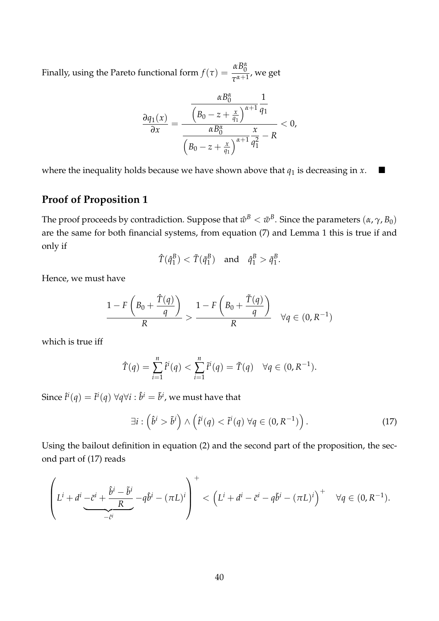Finally, using the Pareto functional form  $f(\tau) = \frac{\alpha B_0^{\alpha}}{\tau^{\alpha+1}}$  $\frac{0}{\tau^{\alpha+1}}$ , we get

$$
\frac{\partial q_1(x)}{\partial x} = \frac{\frac{\alpha B_0^{\alpha}}{\left(B_0 - z + \frac{x}{q_1}\right)^{\alpha+1} q_1}}{\frac{\alpha B_0^{\alpha}}{\left(B_0 - z + \frac{x}{q_1}\right)^{\alpha+1} q_1^2} - R} < 0,
$$

where the inequality holds because we have shown above that  $q_1$  is decreasing in  $x$ .

# **Proof of Proposition [1](#page-16-0)**

The proof proceeds by contradiction. Suppose that  $\hat{w}^B<\tilde{w}^B$ . Since the parameters  $(\alpha,\gamma,B_0)$ are the same for both financial systems, from equation [\(7\)](#page-14-0) and Lemma [1](#page-12-0) this is true if and only if

$$
\hat{T}(\hat{q}_1^B) < \tilde{T}(\tilde{q}_1^B)
$$
 and  $\hat{q}_1^B > \tilde{q}_1^B$ .

Hence, we must have

$$
\frac{1-F\left(B_0+\frac{\tilde{T}(q)}{q}\right)}{R} > \frac{1-F\left(B_0+\frac{\tilde{T}(q)}{q}\right)}{R} \quad \forall q \in (0,R^{-1})
$$

which is true iff

$$
\hat{T}(q) = \sum_{i=1}^{n} \hat{t}^{i}(q) < \sum_{i=1}^{n} \tilde{t}^{i}(q) = \tilde{T}(q) \quad \forall q \in (0, R^{-1}).
$$

Since  $\hat{t}^i(q) = \tilde{t}^i(q)$   $\forall q \forall i: \hat{b}^i = \tilde{b}^i$ , we must have that

<span id="page-41-0"></span>
$$
\exists i: \left(\hat{b}^i > \tilde{b}^i\right) \wedge \left(\hat{t}^i(q) < \tilde{t}^i(q) \,\forall q \in (0, R^{-1})\right). \tag{17}
$$

Using the bailout definition in equation [\(2\)](#page-10-0) and the second part of the proposition, the second part of [\(17\)](#page-40-1) reads

$$
\left(L^{i} + d^{i} - \tilde{c}^{i} + \frac{\hat{b}^{i} - \tilde{b}^{i}}{R} - q\hat{b}^{i} - (\pi L)^{i}\right)^{+} < (L^{i} + d^{i} - \tilde{c}^{i} - q\tilde{b}^{i} - (\pi L)^{i})^{+} \quad \forall q \in (0, R^{-1}).
$$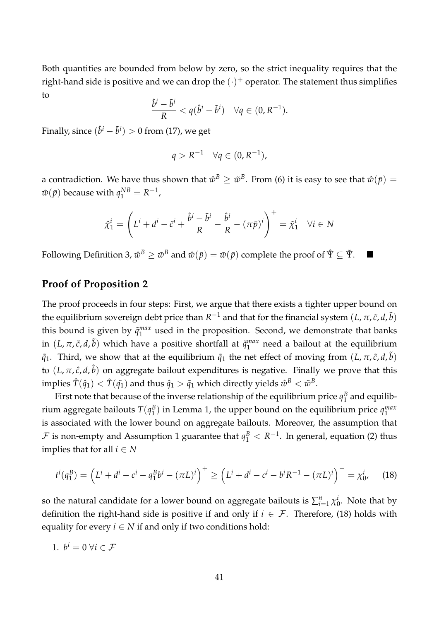Both quantities are bounded from below by zero, so the strict inequality requires that the right-hand side is positive and we can drop the  $(\cdot)^+$  operator. The statement thus simplifies to

$$
\frac{\hat{b}^i-\tilde{b}^i}{R}
$$

Finally, since  $(\hat{b}^i - \tilde{b}^i) > 0$  from [\(17\)](#page-40-1), we get

$$
q > R^{-1} \quad \forall q \in (0, R^{-1}),
$$

a contradiction. We have thus shown that  $\hat w^B\geq \tilde w^B.$  From [\(6\)](#page-13-1) it is easy to see that  $\hat w(\bar p)=0$  $\tilde{w}(\bar{p})$  because with  $q_1^{NB} = R^{-1}$ ,

$$
\hat{\chi}_1^i = \left( L^i + d^i - \tilde{c}^i + \frac{\hat{b}^i - \tilde{b}^i}{R} - \frac{\hat{b}^i}{R} - (\pi \bar{p})^i \right)^+ = \tilde{\chi}_1^i \quad \forall i \in N
$$

Following Definition [3,](#page-15-2)  $\hat w^B\geq \tilde w^B$  and  $\hat w(\bar p)=\tilde w(\bar p)$  complete the proof of  $\hat \Psi\subseteq \tilde \Psi$ .

## **Proof of Proposition [2](#page-17-0)**

The proof proceeds in four steps: First, we argue that there exists a tighter upper bound on the equilibrium sovereign debt price than  $R^{-1}$  and that for the financial system  $(L,\pi,\tilde{c},d,\tilde{b})$ this bound is given by  $\tilde{q}^{max}_{1}$  $_1^{max}$  used in the proposition. Second, we demonstrate that banks in  $(L, \pi, \tilde{c}, d, \tilde{b})$  which have a positive shortfall at  $\tilde{q}^{max}_1$  $_1^{max}$  need a bailout at the equilibrium  $\tilde{q}_1$ . Third, we show that at the equilibrium  $\tilde{q}_1$  the net effect of moving from  $(L, \pi, \tilde{c}, d, \tilde{b})$ to (*L*, *π*, *c*ˆ, *d*, ˆ*b*) on aggregate bailout expenditures is negative. Finally we prove that this  $\dim$ plies  $\hat{T}(\hat{q}_1)<\tilde{T}(\tilde{q_1})$  and thus  $\hat{q}_1>\tilde{q}_1$  which directly yields  $\hat{w}^B<\tilde{w}^B.$ 

First note that because of the inverse relationship of the equilibrium price  $q_1^B$  $\frac{B}{1}$  and equilibrium aggregate bailouts  $T(q_1^B)$  $\binom{B}{1}$  in Lemma [1,](#page-12-0) the upper bound on the equilibrium price  $q_1^{max}$ 1 is associated with the lower bound on aggregate bailouts. Moreover, the assumption that  ${\cal F}$  is non-empty and Assumption [1](#page-11-1) guarantee that  $q_1^B < R^{-1}$ . In general, equation [\(2\)](#page-10-0) thus implies that for all  $i \in N$ 

$$
t^{i}(q_1^B) = (L^i + d^i - c^i - q_1^B b^i - (\pi L)^i)^+ \ge (L^i + d^i - c^i - b^i R^{-1} - (\pi L)^i)^+ = \chi_0^i,
$$
 (18)

so the natural candidate for a lower bound on aggregate bailouts is  $\sum_{i=1}^n \chi^i_0$  $\int_0^l$ . Note that by definition the right-hand side is positive if and only if  $i \in \mathcal{F}$ . Therefore, [\(18\)](#page-41-0) holds with equality for every  $i \in N$  if and only if two conditions hold:

1. 
$$
b^i = 0 \ \forall i \in \mathcal{F}
$$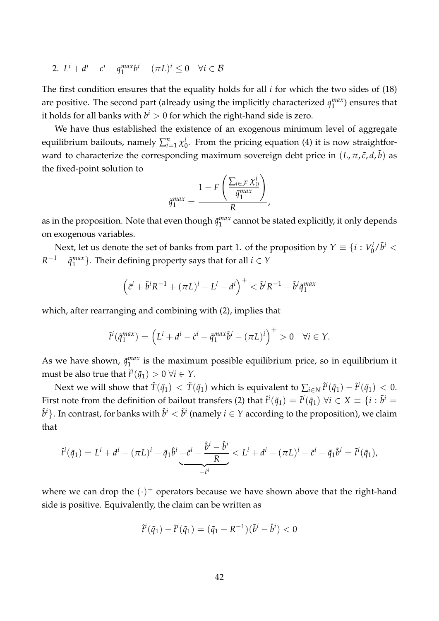2. 
$$
L^i + d^i - c^i - q_1^{max}b^i - (\pi L)^i \leq 0 \quad \forall i \in \mathcal{B}
$$

The first condition ensures that the equality holds for all *i* for which the two sides of [\(18\)](#page-41-0) are positive. The second part (already using the implicitly characterized *q max*  $_1^{max}$ ) ensures that it holds for all banks with  $b^i>0$  for which the right-hand side is zero.

We have thus established the existence of an exogenous minimum level of aggregate equilibrium bailouts, namely  $\sum_{i=1}^n \chi^i_0$  $\int_0^t$ . From the pricing equation [\(4\)](#page-11-0) it is now straightforward to characterize the corresponding maximum sovereign debt price in  $(L, \pi, \tilde{c}, d, \tilde{b})$  as the fixed-point solution to

<span id="page-43-0"></span>
$$
\tilde{q}_1^{max} = \frac{1 - F\left(\frac{\sum_{i \in \mathcal{F}} \chi_0^i}{\tilde{q}_1^{max}}\right)}{R},
$$

as in the proposition. Note that even though  $\tilde{q}^{max}_{1}$  $_1^{max}$  cannot be stated explicitly, it only depends on exogenous variables.

Next, let us denote the set of banks from part 1. of the proposition by  $Y \equiv \{i : V_0^i\}$  $\int_0^i/\tilde{b}^i$   $<$  $R^{-1} - \tilde{q}^{max}_1$  $\binom{max}{1}$ . Their defining property says that for all  $i \in Y$ 

$$
\left(\tilde{c}^i + \tilde{b}^i R^{-1} + (\pi L)^i - L^i - d^i\right)^+ < \tilde{b}^i R^{-1} - \tilde{b}^i \tilde{q}_1^{max}
$$

which, after rearranging and combining with [\(2\)](#page-10-0), implies that

$$
\tilde{t}^{i}(\tilde{q}_{1}^{max}) = (L^{i} + d^{i} - \tilde{c}^{i} - \tilde{q}_{1}^{max}\tilde{b}^{i} - (\pi L)^{i})^{+} > 0 \quad \forall i \in \mathcal{Y}.
$$

As we have shown,  $\tilde{q}^{max}_{1}$  $\frac{max}{1}$  is the maximum possible equilibrium price, so in equilibrium it must be also true that  $\tilde{t}^i(\tilde{q}_1) > 0 \ \forall i \in \Upsilon$ .

Next we will show that  $\hat{T}(\tilde{q}_1) < \tilde{T}(\tilde{q}_1)$  which is equivalent to  $\sum_{i\in N}\hat{t}^i(\tilde{q}_1)-\tilde{t}^i(\tilde{q}_1) < 0.$ First note from the definition of bailout transfers [\(2\)](#page-10-0) that  $\hat{t}^i(\tilde{q}_1)=\tilde{t}^i(\tilde{q}_1)$   $\forall i\in X\equiv\{i:\tilde{b}^i=1\}$  $\hat{b}^i\}.$  In contrast, for banks with  $\hat{b}^i<\tilde{b}^i$  (namely  $i\in Y$  according to the proposition), we claim that

$$
\hat{t}^i(\tilde{q}_1) = L^i + d^i - (\pi L)^i - \tilde{q}_1 \hat{b}^i \underbrace{-\tilde{c}^i - \frac{\tilde{b}^i - \hat{b}^i}{R}}_{-\tilde{c}^i} < L^i + d^i - (\pi L)^i - \tilde{c}^i - \tilde{q}_1 \tilde{b}^i = \tilde{t}^i(\tilde{q}_1),
$$

where we can drop the  $(\cdot)^+$  operators because we have shown above that the right-hand side is positive. Equivalently, the claim can be written as

$$
\hat{t}^i(\tilde{q}_1) - \tilde{t}^i(\tilde{q}_1) = (\tilde{q}_1 - R^{-1})(\tilde{b}^i - \hat{b}^i) < 0
$$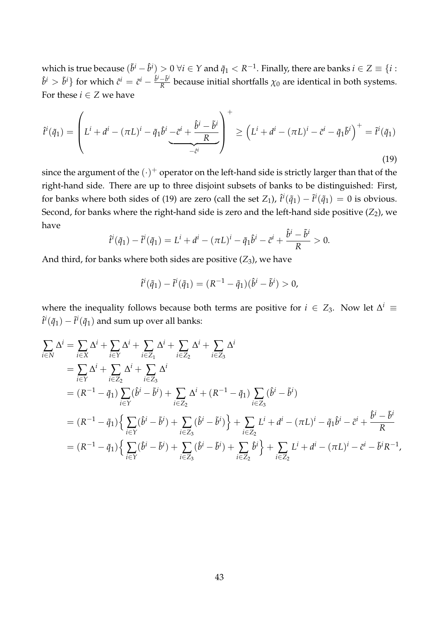which is true because  $(\tilde{b}^i - \hat{b}^i) > 0 \ \forall i \in Y$  and  $\tilde{q}_1 < R^{-1}.$  Finally, there are banks  $i \in Z \equiv \{i :$  $\hat{b}^i > \tilde{b}^i$ } for which  $\hat{c}^i = \tilde{c}^i - \frac{\hat{b}^i - \tilde{b}^i}{R}$  $\frac{-b^2}{R}$  because initial shortfalls  $\chi_0$  are identical in both systems. For these  $i \in \mathbb{Z}$  we have

$$
\hat{t}^{i}(\tilde{q}_{1}) = \left( L^{i} + d^{i} - (\pi L)^{i} - \tilde{q}_{1} \hat{b}^{i} \underbrace{-\tilde{c}^{i} + \frac{\hat{b}^{i} - \tilde{b}^{i}}{R}}_{-\tilde{c}^{i}} \right)^{+} \geq \left( L^{i} + d^{i} - (\pi L)^{i} - \tilde{c}^{i} - \tilde{q}_{1} \tilde{b}^{i} \right)^{+} = \tilde{t}^{i}(\tilde{q}_{1})
$$
\n(19)

since the argument of the  $(\cdot)^+$  operator on the left-hand side is strictly larger than that of the right-hand side. There are up to three disjoint subsets of banks to be distinguished: First, for banks where both sides of [\(19\)](#page-43-0) are zero (call the set  $Z_1$ ),  $\hat{t}^i(\tilde{q}_1) - \tilde{t}^i(\tilde{q}_1) = 0$  is obvious. Second, for banks where the right-hand side is zero and the left-hand side positive (*Z*<sub>2</sub>), we have  $\lambda$ <sup>2</sup> *i*

$$
\hat{t}^i(\tilde{q}_1)-\tilde{t}^i(\tilde{q}_1)=L^i+d^i-(\pi L)^i-\tilde{q}_1\hat{b}^i-\tilde{c}^i+\frac{\hat{b}^i-\tilde{b}^i}{R}>0.
$$

<span id="page-44-0"></span>And third, for banks where both sides are positive  $(Z_3)$ , we have

$$
\hat{t}^{i}(\tilde{q}_{1}) - \tilde{t}^{i}(\tilde{q}_{1}) = (R^{-1} - \tilde{q}_{1})(\hat{b}^{i} - \tilde{b}^{i}) > 0,
$$

where the inequality follows because both terms are positive for  $i \in Z_3$ . Now let  $\Delta^i \equiv$  $\hat{t}^i(\tilde{q}_1)-\tilde{t}^i(\tilde{q}_1)$  and sum up over all banks:

$$
\sum_{i \in N} \Delta^{i} = \sum_{i \in X} \Delta^{i} + \sum_{i \in Y} \Delta^{i} + \sum_{i \in Z_{1}} \Delta^{i} + \sum_{i \in Z_{2}} \Delta^{i} + \sum_{i \in Z_{3}} \Delta^{i}
$$
\n
$$
= \sum_{i \in Y} \Delta^{i} + \sum_{i \in Z_{2}} \Delta^{i} + \sum_{i \in Z_{3}} \Delta^{i}
$$
\n
$$
= (R^{-1} - \tilde{q}_{1}) \sum_{i \in Y} (\hat{b}^{i} - \tilde{b}^{i}) + \sum_{i \in Z_{2}} \Delta^{i} + (R^{-1} - \tilde{q}_{1}) \sum_{i \in Z_{3}} (\hat{b}^{i} - \tilde{b}^{i})
$$
\n
$$
= (R^{-1} - \tilde{q}_{1}) \Big\{ \sum_{i \in Y} (\hat{b}^{i} - \tilde{b}^{i}) + \sum_{i \in Z_{3}} (\hat{b}^{i} - \tilde{b}^{i}) \Big\} + \sum_{i \in Z_{2}} L^{i} + d^{i} - (\pi L)^{i} - \tilde{q}_{1} \hat{b}^{i} - \tilde{c}^{i} + \frac{\hat{b}^{i} - \tilde{b}^{i}}{R}
$$
\n
$$
= (R^{-1} - \tilde{q}_{1}) \Big\{ \sum_{i \in Y} (\hat{b}^{i} - \tilde{b}^{i}) + \sum_{i \in Z_{3}} (\hat{b}^{i} - \tilde{b}^{i}) + \sum_{i \in Z_{2}} \hat{b}^{i} \Big\} + \sum_{i \in Z_{2}} L^{i} + d^{i} - (\pi L)^{i} - \tilde{c}^{i} - \tilde{b}^{i} R^{-1},
$$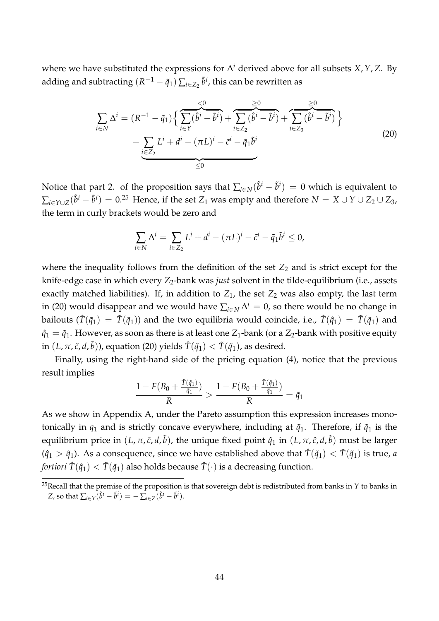where we have substituted the expressions for ∆ *<sup>i</sup>* derived above for all subsets *X*,*Y*, *Z*. By adding and subtracting  $(R^{-1}-\tilde{q}_1)\sum_{i\in Z_2}\tilde{b}^i$ , this can be rewritten as

$$
\sum_{i \in N} \Delta^{i} = (R^{-1} - \tilde{q}_{1}) \Big\{ \sum_{i \in Y} (\hat{b}^{i} - \tilde{b}^{i}) + \sum_{i \in Z_{2}} (\hat{b}^{i} - \tilde{b}^{i}) + \sum_{i \in Z_{3}} (\hat{b}^{i} - \tilde{b}^{i}) \Big\} + \sum_{\substack{i \in Z_{2} \\ \leq 2}} L^{i} + d^{i} - (\pi L)^{i} - \tilde{c}^{i} - \tilde{q}_{1} \tilde{b}^{i}
$$
\n(20)

Notice that part 2. of the proposition says that  $\sum_{i\in N}(\hat{b}^i-\tilde{b}^i)\,=\,0$  which is equivalent to  $\sum_{i\in Y\cup Z}(\hat{b}^i - \tilde{b}^i) = 0.^{25}$  Hence, if the set  $Z_1$  was empty and therefore  $N=X\cup Y\cup Z_2\cup Z_3$ , the term in curly brackets would be zero and

$$
\sum_{i\in N}\Delta^i=\sum_{i\in Z_2}L^i+d^i-(\pi L)^i-\tilde{c}^i-\tilde{q}_1\tilde{b}^i\leq 0,
$$

where the inequality follows from the definition of the set  $Z_2$  and is strict except for the knife-edge case in which every *Z*<sub>2</sub>-bank was *just* solvent in the tilde-equilibrium (i.e., assets exactly matched liabilities). If, in addition to  $Z_1$ , the set  $Z_2$  was also empty, the last term in [\(20\)](#page-44-0) would disappear and we would have  $\sum_{i\in N}\Delta^i=0$ , so there would be no change in bailouts  $(\hat{T}(\tilde{q}_1) = \tilde{T}(\tilde{q}_1))$  and the two equilibria would coincide, i.e.,  $\hat{T}(\hat{q}_1) = \tilde{T}(\tilde{q}_1)$  and  $\hat{q}_1 = \tilde{q}_1$ . However, as soon as there is at least one  $Z_1$ -bank (or a  $Z_2$ -bank with positive equity  $\sin\left(L,\pi,\tilde{c},d,\tilde{b}\right)$ ), equation [\(20\)](#page-44-0) yields  $\hat{T}(\tilde{q}_1)<\tilde{T}(\tilde{q}_1)$ , as desired.

Finally, using the right-hand side of the pricing equation [\(4\)](#page-11-0), notice that the previous result implies

$$
\frac{1 - F(B_0 + \frac{\hat{T}(\tilde{q}_1)}{\tilde{q}_1})}{R} > \frac{1 - F(B_0 + \frac{\tilde{T}(\tilde{q}_1)}{\tilde{q}_1})}{R} = \tilde{q}_1
$$

As we show in Appendix [A,](#page-35-4) under the Pareto assumption this expression increases monotonically in  $q_1$  and is strictly concave everywhere, including at  $\tilde{q}_1$ . Therefore, if  $\tilde{q}_1$  is the equilibrium price in  $(L, \pi, \tilde{c}, d, \tilde{b})$ , the unique fixed point  $\hat{q}_1$  in  $(L, \pi, \hat{c}, d, \hat{b})$  must be larger  $(\hat{q}_1 > \tilde{q}_1)$ . As a consequence, since we have established above that  $\hat{T}(\tilde{q}_1) < \tilde{T}(\tilde{q}_1)$  is true, *a fortiori*  $\hat{T}(\hat{q}_1) < \tilde{T}(\tilde{q}_1)$  also holds because  $\hat{T}(\cdot)$  is a decreasing function.

<sup>&</sup>lt;sup>25</sup>Recall that the premise of the proposition is that sovereign debt is redistributed from banks in  $Y$  to banks in  $Z$ , so that  $\sum_{i \in Y} (\hat{b}^i - \tilde{b}^i) = -\sum_{i \in Z} (\hat{b}^i - \tilde{b}^i).$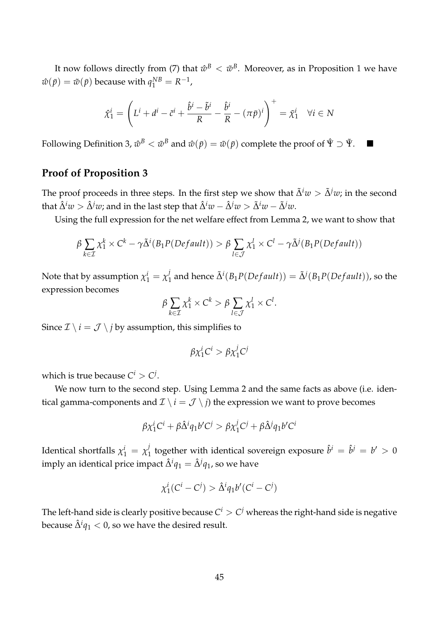It now follows directly from [\(7\)](#page-14-0) that  $\hat w^\textit{B} < \tilde w^\textit{B}$ . Moreover, as in Proposition [1](#page-16-0) we have  $\hat{w}(\bar{p}) = \tilde{w}(\bar{p})$  because with  $q_1^{NB} = R^{-1}$ ,

$$
\hat{\chi}_1^i = \left( L^i + d^i - \tilde{c}^i + \frac{\hat{b}^i - \tilde{b}^i}{R} - \frac{\hat{b}^i}{R} - (\pi \bar{p})^i \right)^+ = \tilde{\chi}_1^i \quad \forall i \in \mathbb{N}
$$

Following Definition [3,](#page-15-2)  $\hat w^B<\tilde w^B$  and  $\hat w(\bar p)=\tilde w(\bar p)$  complete the proof of  $\hat \Psi\supset \tilde \Psi$ .

## **Proof of Proposition [3](#page-25-0)**

The proof proceeds in three steps. In the first step we show that  $\tilde{\Delta}^i w > \tilde{\Delta}^j w$ ; in the second that  $\hat{\Delta}^i w > \hat{\Delta}^j w$ ; and in the last step that  $\hat{\Delta}^i w - \hat{\Delta}^j w > \tilde{\Delta}^i w - \tilde{\Delta}^j w$ .

Using the full expression for the net welfare effect from Lemma [2,](#page-24-0) we want to show that

$$
\beta \sum_{k \in \mathcal{I}} \chi_1^k \times C^k - \gamma \tilde{\Delta}^i(B_1 P(Default)) > \beta \sum_{l \in \mathcal{J}} \chi_1^l \times C^l - \gamma \tilde{\Delta}^j(B_1 P(Default))
$$

Note that by assumption  $\chi_1^i = \chi_1^j$  $\tilde{\Delta}^i(B_1P(Default)) = \tilde{\Delta}^j(B_1P(Default)),$  so the expression becomes

$$
\beta \sum_{k \in \mathcal{I}} \chi_1^k \times C^k > \beta \sum_{l \in \mathcal{J}} \chi_1^l \times C^l.
$$

Since  $\mathcal{I} \setminus i = \mathcal{J} \setminus j$  by assumption, this simplifies to

$$
\beta \chi_1^i C^i > \beta \chi_1^j C^j
$$

which is true because  $C^i > C^j$ .

We now turn to the second step. Using Lemma [2](#page-24-0) and the same facts as above (i.e. identical gamma-components and  $\mathcal{I} \setminus i = \mathcal{J} \setminus j$  the expression we want to prove becomes

$$
\beta \chi_1^i C^i + \beta \hat{\Delta}^i q_1 b' C^j > \beta \chi_1^j C^j + \beta \hat{\Delta}^j q_1 b' C^i
$$

Identical shortfalls  $\chi_1^i = \chi_1^j$  $\hat{b}^i$  together with identical sovereign exposure  $\hat{b}^i = \hat{b}^j = b' > 0$ imply an identical price impact  $\hat{\Delta}^i q_1 = \hat{\Delta}^j q_1$ , so we have

$$
\chi_1^i(C^i - C^j) > \hat{\Delta}^i q_1 b'(C^i - C^j)
$$

The left-hand side is clearly positive because  $C^i>C^j$  whereas the right-hand side is negative because  $\hat{\Delta}^i q_1 < 0$ , so we have the desired result.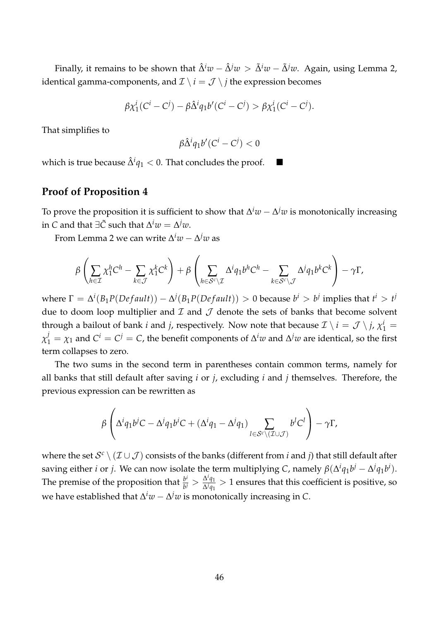Finally, it remains to be shown that  $\hat{\Delta}^i w - \hat{\Delta}^j w > \tilde{\Delta}^i w - \tilde{\Delta}^j w$ . Again, using Lemma [2,](#page-24-0) identical gamma-components, and  $\mathcal{I} \setminus i = \mathcal{J} \setminus j$  the expression becomes

$$
\beta \chi_1^i(C^i - C^j) - \beta \hat{\Delta}^i q_1 b'(C^i - C^j) > \beta \chi_1^i(C^i - C^j).
$$

That simplifies to

$$
\beta\hat{\Delta}^iq_1b'(C^i-C^j)<0
$$

which is true because  $\hat{\Delta}^i q_1 < 0$ . That concludes the proof. ■

## **Proof of Proposition [4](#page-26-0)**

To prove the proposition it is sufficient to show that ∆ *<sup>i</sup>w* − ∆ *<sup>j</sup>w* is monotonically increasing  $\sin C$  and that  $\exists \tilde{C}$  such that  $\Delta^i w = \Delta^j w.$ 

From Lemma [2](#page-24-0) we can write ∆ *<sup>i</sup>w* − ∆ *<sup>j</sup>w* as

$$
\beta\left(\sum_{h\in\mathcal{I}}\chi_1^h C^h-\sum_{k\in\mathcal{J}}\chi_1^k C^k\right)+\beta\left(\sum_{h\in\mathcal{S}^c\backslash\mathcal{I}}\Delta^i q_1 b^h C^h-\sum_{k\in\mathcal{S}^c\backslash\mathcal{J}}\Delta^j q_1 b^k C^k\right)-\gamma\Gamma,
$$

 $\Delta^{i}(B_1P(Default)) - \Delta^{j}(B_1P(Default)) > 0$  because  $b^i > b^j$  implies that  $t^i > t^j$ due to doom loop multiplier and  $\mathcal I$  and  $\mathcal J$  denote the sets of banks that become solvent through a bailout of bank *i* and *j*, respectively. Now note that because  $\mathcal{I} \setminus i = \mathcal{J} \setminus j$ ,  $\chi_1^i =$  $\chi_1^j = \chi_1$  and  $C^i = C^j = C$ , the benefit components of  $\Delta^i w$  and  $\Delta^j w$  are identical, so the first term collapses to zero.

The two sums in the second term in parentheses contain common terms, namely for all banks that still default after saving *i* or *j*, excluding *i* and *j* themselves. Therefore, the previous expression can be rewritten as

$$
\beta\left(\Delta^i q_1 b^j C - \Delta^j q_1 b^i C + (\Delta^i q_1 - \Delta^j q_1)\sum_{l\in\mathcal{S}^c\backslash(\mathcal{I}\cup\mathcal{J})} b^l C^l\right) - \gamma \Gamma,
$$

where the set  $\mathcal{S}^c\setminus(\mathcal{I}\cup\mathcal{J})$  consists of the banks (different from  $i$  and  $j$ ) that still default after saving either *i* or *j*. We can now isolate the term multiplying *C*, namely  $\beta(\Delta^i q_1 b^j - \Delta^j q_1 b^i)$ . The premise of the proposition that *<sup>b</sup> i*  $\frac{b^i}{b^j} > \frac{\Delta^i q_1}{\Delta^j q_1}$  $\frac{\Delta^2 q_1}{\Delta^j q_1} > 1$  ensures that this coefficient is positive, so we have established that ∆ *<sup>i</sup>w* − ∆ *<sup>j</sup>w* is monotonically increasing in *C*.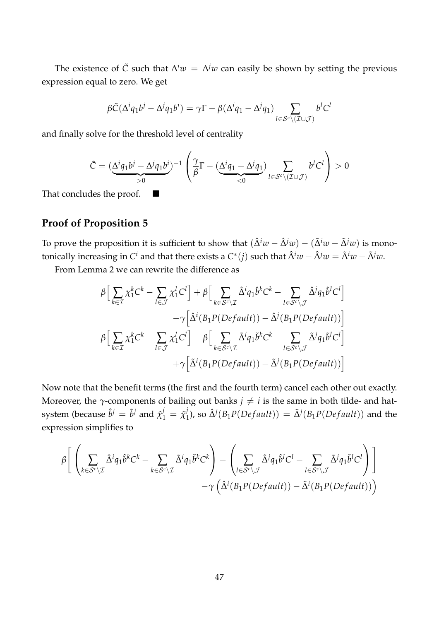The existence of  $\tilde{C}$  such that  $\Delta^i w = \Delta^j w$  can easily be shown by setting the previous expression equal to zero. We get

$$
\beta \tilde{C} (\Delta^i q_1 b^j - \Delta^j q_1 b^i) = \gamma \Gamma - \beta (\Delta^i q_1 - \Delta^j q_1) \sum_{l \in \mathcal{S}^c \setminus (\mathcal{I} \cup \mathcal{J})} b^l C^l
$$

and finally solve for the threshold level of centrality

$$
\tilde{C} = (\underbrace{\Delta^i q_1 b^j - \Delta^j q_1 b^i}_{>0})^{-1} \left( \frac{\gamma}{\beta} \Gamma - (\underbrace{\Delta^i q_1 - \Delta^j q_1}_{<0}) \sum_{l \in \mathcal{S}^c \setminus (\mathcal{I} \cup \mathcal{J})} b^l C^l \right) > 0
$$

That concludes the proof.  $\blacksquare$ 

# **Proof of Proposition [5](#page-29-0)**

To prove the proposition it is sufficient to show that  $(\hat{\Delta}^i w - \hat{\Delta}^j w) - (\tilde{\Delta}^i w - \tilde{\Delta}^j w)$  is monotonically increasing in  $C^i$  and that there exists a  $C^*(j)$  such that  $\hat{\Delta}^i w-\hat{\Delta}^j w=\tilde{\Delta}^i w-\tilde{\Delta}^j w.$ 

From Lemma [2](#page-24-0) we can rewrite the difference as

$$
\beta \Big[ \sum_{k \in \mathcal{I}} \chi_1^k C^k - \sum_{l \in \mathcal{J}} \chi_1^l C^l \Big] + \beta \Big[ \sum_{k \in \mathcal{S}^c \backslash \mathcal{I}} \hat{\Delta}^i q_1 \hat{b}^k C^k - \sum_{l \in \mathcal{S}^c \backslash \mathcal{J}} \hat{\Delta}^j q_1 \hat{b}^l C^l \Big] \n- \gamma \Big[ \hat{\Delta}^i (B_1 P (Default)) - \hat{\Delta}^j (B_1 P (Default)) \Big] \n- \beta \Big[ \sum_{k \in \mathcal{I}} \chi_1^k C^k - \sum_{l \in \mathcal{J}} \chi_1^l C^l \Big] - \beta \Big[ \sum_{k \in \mathcal{S}^c \backslash \mathcal{I}} \tilde{\Delta}^i q_1 \tilde{b}^k C^k - \sum_{l \in \mathcal{S}^c \backslash \mathcal{J}} \tilde{\Delta}^j q_1 \tilde{b}^l C^l \Big] \n+ \gamma \Big[ \tilde{\Delta}^i (B_1 P (Default)) - \tilde{\Delta}^j (B_1 P (Default)) \Big]
$$

Now note that the benefit terms (the first and the fourth term) cancel each other out exactly. Moreover, the  $\gamma$ -components of bailing out banks  $j \neq i$  is the same in both tilde- and hat- $\delta$  system (because  $\hat{b}^j = \tilde{b}^j$  and  $\hat{\chi}^j_1 = \tilde{\chi}^j_1$  $\tilde{\Delta}^j$ ), so  $\tilde{\Delta}^j(B_1P(Default)) = \tilde{\Delta}^j(B_1P(Default))$  and the expression simplifies to

$$
\beta \Bigg[ \left( \sum_{k \in \mathcal{S}^c \backslash \mathcal{I}} \hat{\Delta}^i q_1 \hat{b}^k C^k - \sum_{k \in \mathcal{S}^c \backslash \mathcal{I}} \tilde{\Delta}^i q_1 \tilde{b}^k C^k \right) - \left( \sum_{l \in \mathcal{S}^c \backslash \mathcal{I}} \hat{\Delta}^j q_1 \hat{b}^l C^l - \sum_{l \in \mathcal{S}^c \backslash \mathcal{I}} \tilde{\Delta}^j q_1 \tilde{b}^l C^l \right) \Bigg] - \gamma \left( \hat{\Delta}^i (B_1 P (Default)) - \tilde{\Delta}^i (B_1 P (Default)) \right)
$$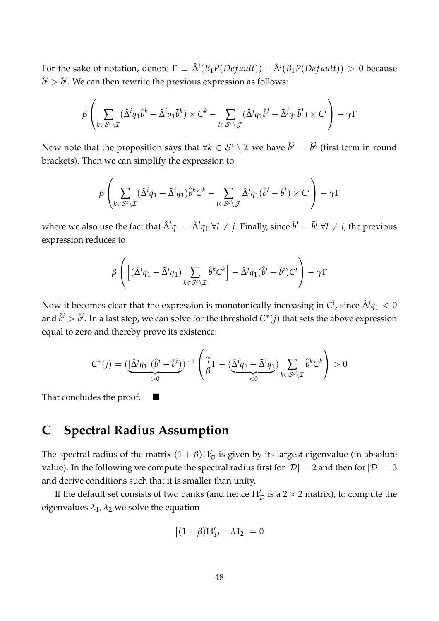For the sake of notation, denote  $\Gamma \equiv \hat{\Delta}^i(B_1P(Default)) - \tilde{\Delta}^i(B_1P(Default)) > 0$  because  $\hat{b}^i > \tilde{b}^i.$  We can then rewrite the previous expression as follows:

$$
\beta \left( \sum_{k \in \mathcal{S}^c \setminus \mathcal{I}} (\hat{\Delta}^i q_1 \hat{b}^k - \tilde{\Delta}^i q_1 \tilde{b}^k) \times C^k - \sum_{l \in \mathcal{S}^c \setminus \mathcal{J}} (\hat{\Delta}^j q_1 \hat{b}^l - \tilde{\Delta}^j q_1 \tilde{b}^l) \times C^l \right) - \gamma \Gamma
$$

Now note that the proposition says that  $\forall k \in \mathcal{S}^c \setminus \mathcal{I}$  we have  $\hat{b}^k = \tilde{b}^k$  (first term in round brackets). Then we can simplify the expression to

$$
\beta\left(\sum_{k\in\mathcal{S}^c\setminus\mathcal{I}}(\hat{\Delta}^i q_1-\tilde{\Delta}^i q_1)\hat{b}^kC^k-\sum_{l\in\mathcal{S}^c\setminus\mathcal{J}}\hat{\Delta}^j q_1(\hat{b}^l-\tilde{b}^l)\times C^l\right)-\gamma\Gamma
$$

where we also use the fact that  $\hat{\Delta}^l q_1=\tilde{\Delta}^l q_1$   $\forall l\neq j.$  Finally, since  $\hat{b}^l=\tilde{b}^l$   $\forall l\neq i,$  the previous expression reduces to

$$
\beta \left( \left[ (\hat{\Delta}^i q_1 - \tilde{\Delta}^i q_1) \sum_{k \in \mathcal{S}^c \setminus \mathcal{I}} \hat{b}^k C^k \right] - \hat{\Delta}^j q_1 (\hat{b}^i - \tilde{b}^i) C^i \right) - \gamma \Gamma
$$

Now it becomes clear that the expression is monotonically increasing in  $C^i$ , since  $\hat{\Delta}^j q_1 < 0$ and  $\hat{b}^i>\tilde{b}^i.$  In a last step, we can solve for the threshold  $C^*(j)$  that sets the above expression equal to zero and thereby prove its existence:

$$
C^*(j) = (\underbrace{|\hat{\Delta}^j q_1|(\hat{b}^i - \tilde{b}^i)}_{>0})^{-1} \left(\frac{\gamma}{\beta} \Gamma - (\underbrace{\hat{\Delta}^i q_1 - \tilde{\Delta}^i q_1}_{<0}) \sum_{k \in \mathcal{S}^c \setminus \mathcal{I}} \hat{b}^k C^k \right) > 0
$$

That concludes the proof.  $\blacksquare$ 

# <span id="page-49-0"></span>**C Spectral Radius Assumption**

The spectral radius of the matrix  $(1 + \beta) \Pi'_\mathcal{D}$  is given by its largest eigenvalue (in absolute value). In the following we compute the spectral radius first for  $|\mathcal{D}| = 2$  and then for  $|\mathcal{D}| = 3$ and derive conditions such that it is smaller than unity.

If the default set consists of two banks (and hence  $\Pi_{\mathcal{D}}'$  is a 2  $\times$  2 matrix), to compute the eigenvalues  $\lambda_1$ ,  $\lambda_2$  we solve the equation

<span id="page-49-1"></span>
$$
\left| (1+\beta) \Pi_{\mathcal{D}}' - \lambda \mathbb{I}_2 \right| = 0
$$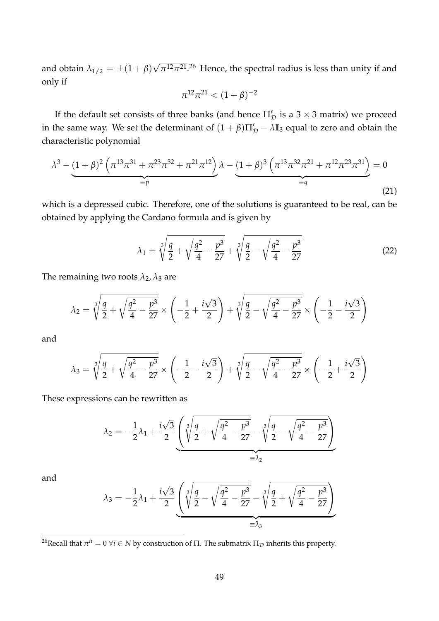and obtain  $\lambda_{1/2} = \pm (1 + \beta)$ √  $\pi^{12}\pi^{21}$ <sup>26</sup> Hence, the spectral radius is less than unity if and only if

$$
\pi^{12}\pi^{21} < (1+\beta)^{-2}
$$

If the default set consists of three banks (and hence  $\Pi_{\mathcal{D}}'$  is a 3  $\times$  3 matrix) we proceed in the same way. We set the determinant of  $(1 + \beta)\Pi'_D - \lambda \mathbb{I}_3$  equal to zero and obtain the characteristic polynomial

$$
\lambda^3 - \underbrace{(1+\beta)^2 \left(\pi^{13}\pi^{31} + \pi^{23}\pi^{32} + \pi^{21}\pi^{12}\right)}_{\equiv p} \lambda - \underbrace{(1+\beta)^3 \left(\pi^{13}\pi^{32}\pi^{21} + \pi^{12}\pi^{23}\pi^{31}\right)}_{\equiv q} = 0
$$
\n(21)

which is a depressed cubic. Therefore, one of the solutions is guaranteed to be real, can be obtained by applying the Cardano formula and is given by

<span id="page-50-0"></span>
$$
\lambda_1 = \sqrt[3]{\frac{q}{2} + \sqrt{\frac{q^2}{4} - \frac{p^3}{27}}} + \sqrt[3]{\frac{q}{2} - \sqrt{\frac{q^2}{4} - \frac{p^3}{27}}}
$$
(22)

The remaining two roots  $\lambda_2$ ,  $\lambda_3$  are

$$
\lambda_2 = \sqrt[3]{\frac{q}{2} + \sqrt{\frac{q^2}{4} - \frac{p^3}{27}}} \times \left( -\frac{1}{2} + \frac{i\sqrt{3}}{2} \right) + \sqrt[3]{\frac{q}{2} - \sqrt{\frac{q^2}{4} - \frac{p^3}{27}}} \times \left( -\frac{1}{2} - \frac{i\sqrt{3}}{2} \right)
$$

and

$$
\lambda_3 = \sqrt[3]{\frac{q}{2} + \sqrt{\frac{q^2}{4} - \frac{p^3}{27}}} \times \left( -\frac{1}{2} - \frac{i\sqrt{3}}{2} \right) + \sqrt[3]{\frac{q}{2} - \sqrt{\frac{q^2}{4} - \frac{p^3}{27}}} \times \left( -\frac{1}{2} + \frac{i\sqrt{3}}{2} \right)
$$

These expressions can be rewritten as

$$
\lambda_2 = -\frac{1}{2}\lambda_1 + \frac{i\sqrt{3}}{2}\underbrace{\left(\sqrt[3]{\frac{q}{2} + \sqrt{\frac{q^2}{4} - \frac{p^3}{27}}} - \sqrt[3]{\frac{q}{2} - \sqrt{\frac{q^2}{4} - \frac{p^3}{27}}}\right)}_{\equiv \tilde{\lambda}_2}
$$

and

$$
\lambda_3 = -\frac{1}{2}\lambda_1 + \frac{i\sqrt{3}}{2} \underbrace{\left(\sqrt[3]{\frac{q}{2} - \sqrt{\frac{q^2}{4} - \frac{p^3}{27}}} - \sqrt[3]{\frac{q}{2} + \sqrt{\frac{q^2}{4} - \frac{p^3}{27}}}\right)}_{\equiv \tilde{\lambda}_3}
$$

<sup>26</sup>Recall that  $\pi^{ii}=0$   $\forall i\in N$  by construction of  $\Pi.$  The submatrix  $\Pi_\mathcal{D}$  inherits this property.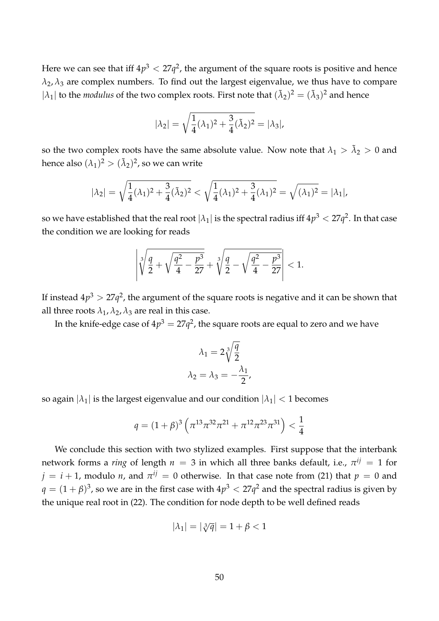Here we can see that iff  $4p^3 < 27q^2$ , the argument of the square roots is positive and hence  $\lambda_2$ ,  $\lambda_3$  are complex numbers. To find out the largest eigenvalue, we thus have to compare  $|\lambda_1|$  to the *modulus* of the two complex roots. First note that  $(\tilde{\lambda}_2)^2 = (\tilde{\lambda}_3)^2$  and hence

$$
|\lambda_2| = \sqrt{\frac{1}{4}(\lambda_1)^2 + \frac{3}{4}(\tilde{\lambda}_2)^2} = |\lambda_3|,
$$

so the two complex roots have the same absolute value. Now note that  $\lambda_1 > \tilde{\lambda}_2 > 0$  and hence also  $(\lambda_1)^2 > (\tilde{\lambda}_2)^2$ , so we can write

$$
|\lambda_2| = \sqrt{\frac{1}{4}(\lambda_1)^2 + \frac{3}{4}(\tilde{\lambda}_2)^2} < \sqrt{\frac{1}{4}(\lambda_1)^2 + \frac{3}{4}(\lambda_1)^2} = \sqrt{(\lambda_1)^2} = |\lambda_1|,
$$

so we have established that the real root  $|\lambda_1|$  is the spectral radius iff  $4p^3 < 27q^2.$  In that case the condition we are looking for reads

$$
\left|\sqrt[3]{\frac{q}{2}+\sqrt{\frac{q^2}{4}-\frac{p^3}{27}}}+\sqrt[3]{\frac{q}{2}-\sqrt{\frac{q^2}{4}-\frac{p^3}{27}}}\right|<1.
$$

If instead  $4p^3 > 27q^2$ , the argument of the square roots is negative and it can be shown that all three roots  $\lambda_1$ ,  $\lambda_2$ ,  $\lambda_3$  are real in this case.

In the knife-edge case of  $4p^3 = 27q^2$ , the square roots are equal to zero and we have

$$
\lambda_1 = 2\sqrt[3]{\frac{q}{2}}
$$

$$
\lambda_2 = \lambda_3 = -\frac{\lambda_1}{2},
$$

so again  $|\lambda_1|$  is the largest eigenvalue and our condition  $|\lambda_1| < 1$  becomes

$$
q = (1 + \beta)^3 \left( \pi^{13} \pi^{32} \pi^{21} + \pi^{12} \pi^{23} \pi^{31} \right) < \frac{1}{4}
$$

We conclude this section with two stylized examples. First suppose that the interbank  ${\mathfrak n}$ etwork forms a *ring* of length  $n\,=\,3$  in which all three banks default, i.e.,  $\pi^{ij}\,=\,1$  for  $j = i + 1$ , modulo *n*, and  $\pi^{ij} = 0$  otherwise. In that case note from [\(21\)](#page-49-1) that  $p = 0$  and  $q=(1+\beta)^3$ , so we are in the first case with  $4p^3 < 27q^2$  and the spectral radius is given by the unique real root in [\(22\)](#page-50-0). The condition for node depth to be well defined reads

$$
|\lambda_1| = |\sqrt[3]{q}| = 1 + \beta < 1
$$